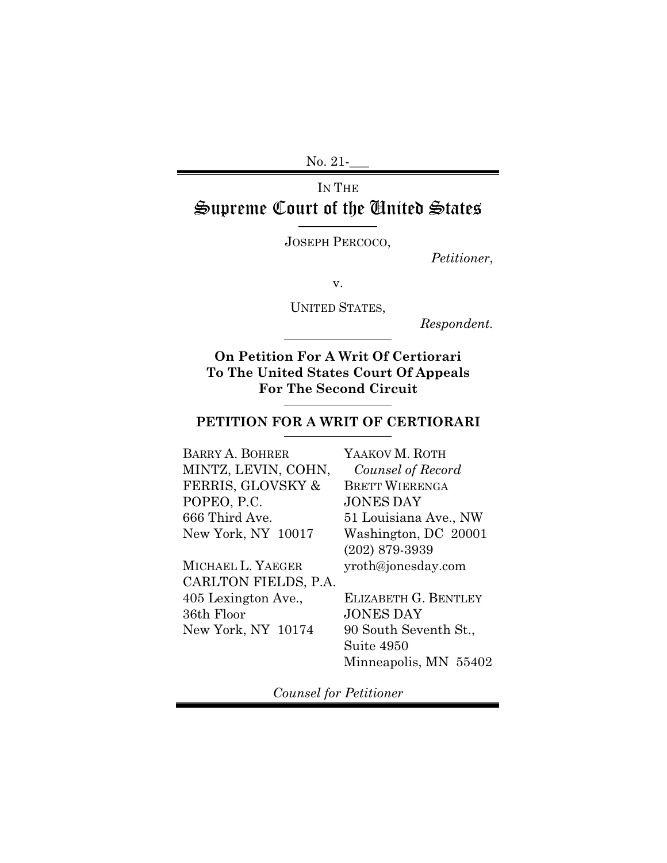No. 21-**\_\_\_** 

# IN THE Supreme Court of the United States

JOSEPH PERCOCO,

*Petitioner*,

v.

UNITED STATES,

*Respondent.*

**On Petition For A Writ Of Certiorari To The United States Court Of Appeals For The Second Circuit**

### **PETITION FOR A WRIT OF CERTIORARI**

BARRY A. BOHRER MINTZ, LEVIN, COHN, FERRIS, GLOVSKY & POPEO, P.C. 666 Third Ave. New York, NY 10017

MICHAEL L. YAEGER CARLTON FIELDS, P.A. 405 Lexington Ave., 36th Floor New York, NY 10174

YAAKOV M. ROTH *Counsel of Record*  BRETT WIERENGA JONES DAY 51 Louisiana Ave., NW Washington, DC 20001 (202) 879-3939 yroth@jonesday.com

ELIZABETH G. BENTLEY JONES DAY 90 South Seventh St., Suite 4950 Minneapolis, MN 55402

*Counsel for Petitioner*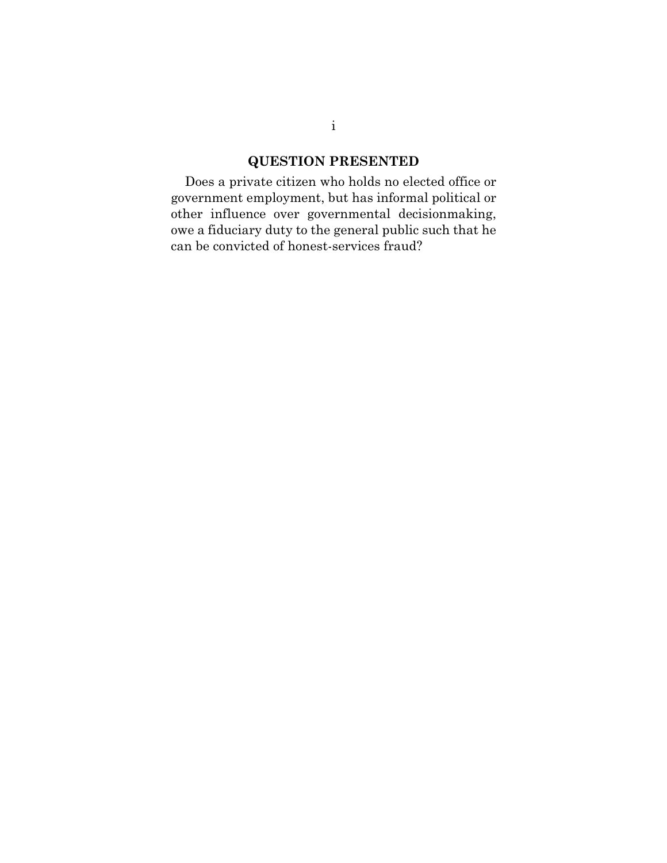## **QUESTION PRESENTED**

Does a private citizen who holds no elected office or government employment, but has informal political or other influence over governmental decisionmaking, owe a fiduciary duty to the general public such that he can be convicted of honest-services fraud?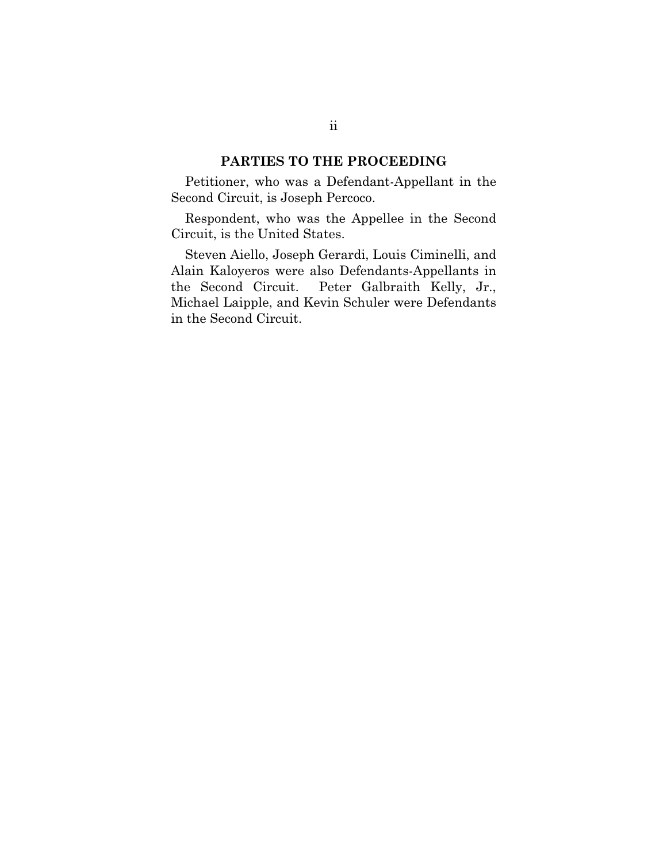### **PARTIES TO THE PROCEEDING**

Petitioner, who was a Defendant-Appellant in the Second Circuit, is Joseph Percoco.

Respondent, who was the Appellee in the Second Circuit, is the United States.

Steven Aiello, Joseph Gerardi, Louis Ciminelli, and Alain Kaloyeros were also Defendants-Appellants in the Second Circuit. Peter Galbraith Kelly, Jr., Michael Laipple, and Kevin Schuler were Defendants in the Second Circuit.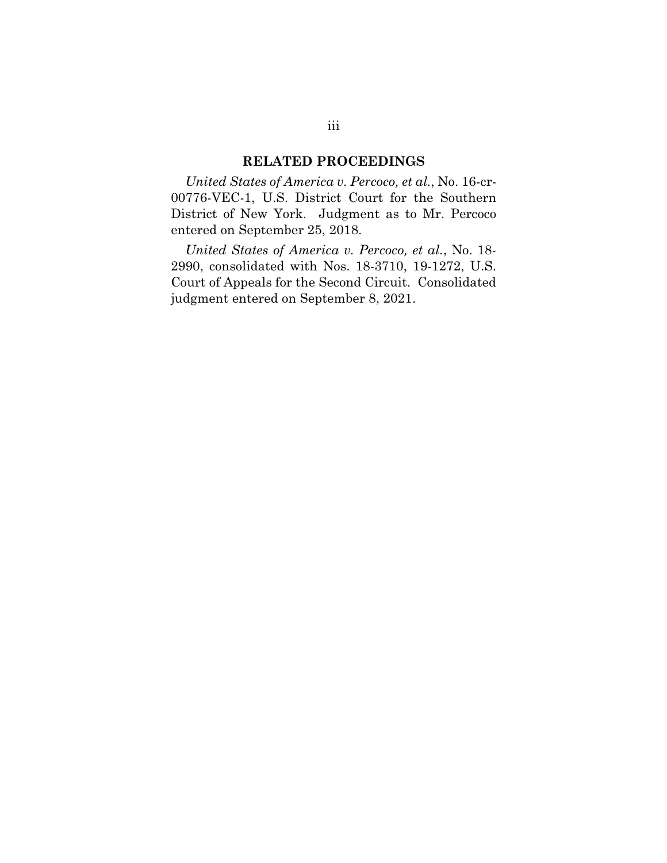#### **RELATED PROCEEDINGS**

*United States of America v. Percoco, et al.*, No. 16-cr-00776-VEC-1, U.S. District Court for the Southern District of New York. Judgment as to Mr. Percoco entered on September 25, 2018.

*United States of America v. Percoco, et al.*, No. 18- 2990, consolidated with Nos. 18-3710, 19-1272, U.S. Court of Appeals for the Second Circuit. Consolidated judgment entered on September 8, 2021.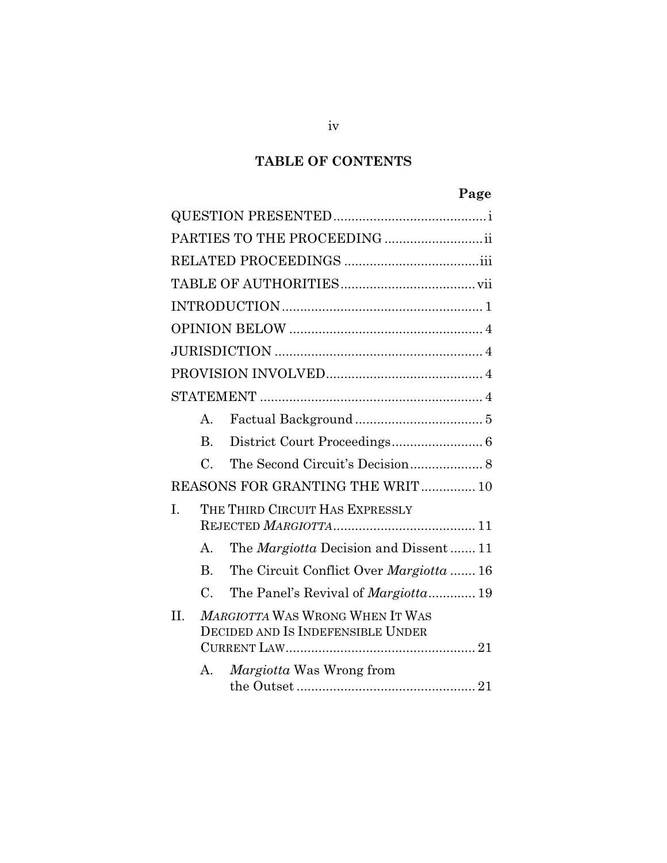# **TABLE OF CONTENTS**

# **Page**

| PARTIES TO THE PROCEEDING  ii                                               |                                 |                                               |  |  |
|-----------------------------------------------------------------------------|---------------------------------|-----------------------------------------------|--|--|
|                                                                             |                                 |                                               |  |  |
|                                                                             |                                 |                                               |  |  |
|                                                                             |                                 |                                               |  |  |
|                                                                             |                                 |                                               |  |  |
|                                                                             |                                 |                                               |  |  |
|                                                                             |                                 |                                               |  |  |
|                                                                             |                                 |                                               |  |  |
|                                                                             | A.                              |                                               |  |  |
|                                                                             | В.                              |                                               |  |  |
|                                                                             | $\mathcal{C}$ .                 |                                               |  |  |
| REASONS FOR GRANTING THE WRIT 10                                            |                                 |                                               |  |  |
| $\mathbf{I}$ .                                                              | THE THIRD CIRCUIT HAS EXPRESSLY |                                               |  |  |
|                                                                             |                                 |                                               |  |  |
|                                                                             | А.                              | The <i>Margiotta</i> Decision and Dissent 11  |  |  |
|                                                                             | $\mathbf{B}$ .                  | The Circuit Conflict Over <i>Margiotta</i> 16 |  |  |
|                                                                             | C.                              | The Panel's Revival of <i>Margiotta</i> 19    |  |  |
| II.<br>MARGIOTTA WAS WRONG WHEN IT WAS<br>DECIDED AND IS INDEFENSIBLE UNDER |                                 |                                               |  |  |
|                                                                             | $A_{\cdot}$                     | <i>Margiotta</i> Was Wrong from               |  |  |

iv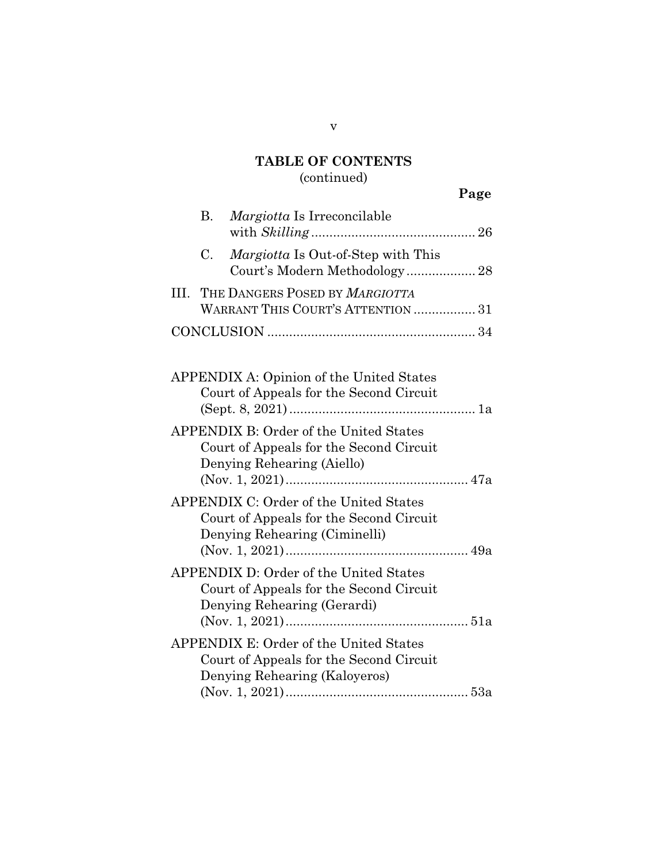## **TABLE OF CONTENTS**  (continued)

|           |                                                                                                                           | Page |
|-----------|---------------------------------------------------------------------------------------------------------------------------|------|
| <b>B.</b> | Margiotta Is Irreconcilable                                                                                               |      |
| C.        | Margiotta Is Out-of-Step with This<br>Court's Modern Methodology 28                                                       |      |
|           | III. THE DANGERS POSED BY MARGIOTTA<br>WARRANT THIS COURT'S ATTENTION  31                                                 |      |
|           |                                                                                                                           |      |
|           | APPENDIX A: Opinion of the United States<br>Court of Appeals for the Second Circuit                                       |      |
|           | APPENDIX B: Order of the United States<br>Court of Appeals for the Second Circuit<br>Denying Rehearing (Aiello)           |      |
|           | APPENDIX C: Order of the United States<br>Court of Appeals for the Second Circuit<br>Denying Rehearing (Ciminelli)        |      |
|           | APPENDIX D: Order of the United States<br>Court of Appeals for the Second Circuit<br>Denying Rehearing (Gerardi)          |      |
|           | <b>APPENDIX E: Order of the United States</b><br>Court of Appeals for the Second Circuit<br>Denying Rehearing (Kaloyeros) |      |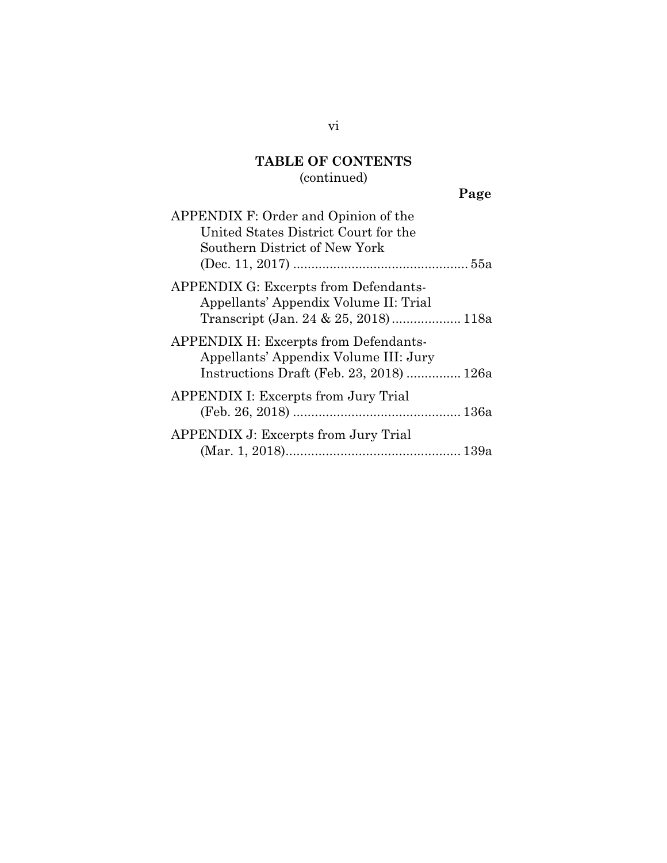## **TABLE OF CONTENTS**  (continued)

# **Page**

| APPENDIX F: Order and Opinion of the                                                                                              |  |  |  |  |
|-----------------------------------------------------------------------------------------------------------------------------------|--|--|--|--|
| United States District Court for the                                                                                              |  |  |  |  |
| Southern District of New York                                                                                                     |  |  |  |  |
|                                                                                                                                   |  |  |  |  |
| <b>APPENDIX G: Excerpts from Defendants-</b><br>Appellants' Appendix Volume II: Trial<br>Transcript (Jan. 24 & 25, 2018) 118a     |  |  |  |  |
| <b>APPENDIX H: Excerpts from Defendants-</b><br>Appellants' Appendix Volume III: Jury<br>Instructions Draft (Feb. 23, 2018)  126a |  |  |  |  |
| <b>APPENDIX I: Excerpts from Jury Trial</b>                                                                                       |  |  |  |  |
| <b>APPENDIX J: Excerpts from Jury Trial</b>                                                                                       |  |  |  |  |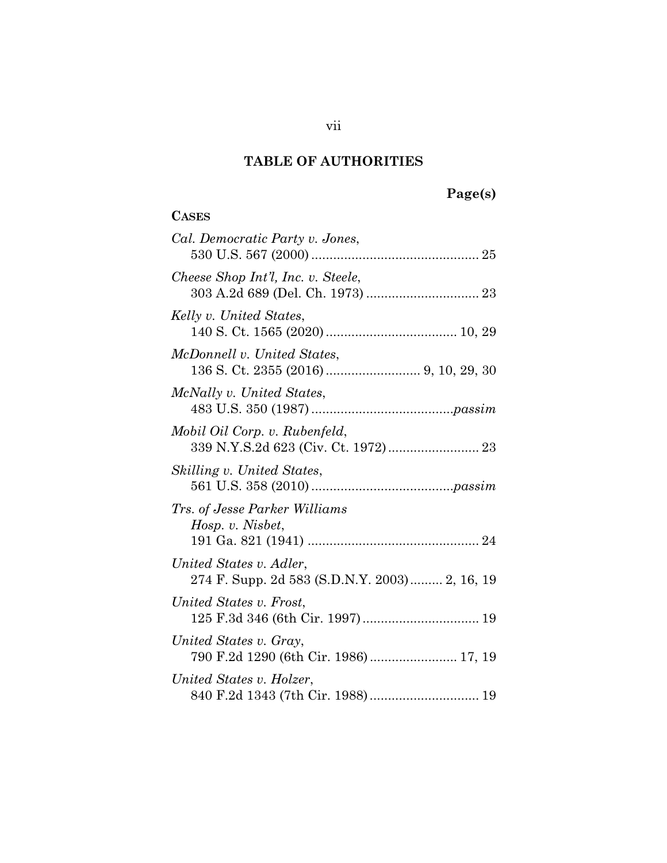# **TABLE OF AUTHORITIES**

# **Page(s)**

## **CASES**

| Cal. Democratic Party v. Jones,                                          |
|--------------------------------------------------------------------------|
| Cheese Shop Int'l, Inc. v. Steele,                                       |
| Kelly v. United States,                                                  |
| McDonnell v. United States,                                              |
| McNally v. United States,                                                |
| Mobil Oil Corp. v. Rubenfeld,                                            |
| Skilling v. United States,                                               |
| Trs. of Jesse Parker Williams<br>Hosp. v. Nisbet,                        |
| United States v. Adler,<br>274 F. Supp. 2d 583 (S.D.N.Y. 2003) 2, 16, 19 |
| United States v. Frost,                                                  |
| United States v. Gray,<br>790 F.2d 1290 (6th Cir. 1986)  17, 19          |
| United States v. Holzer,<br>840 F.2d 1343 (7th Cir. 1988) 19             |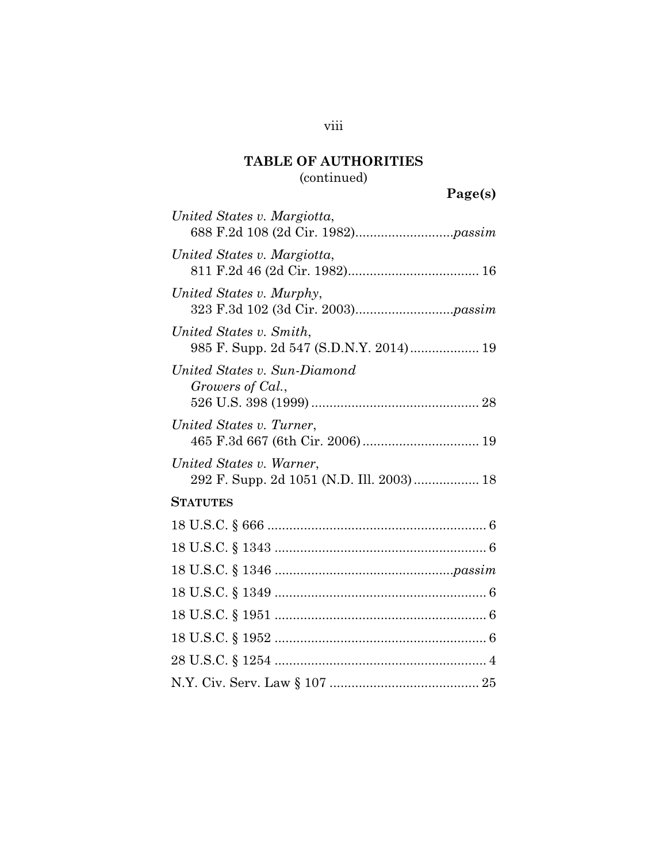## **TABLE OF AUTHORITIES**  (continued)

| United States v. Margiotta,                                          |
|----------------------------------------------------------------------|
| United States v. Margiotta,                                          |
| United States v. Murphy,                                             |
| United States v. Smith,<br>985 F. Supp. 2d 547 (S.D.N.Y. 2014) 19    |
| United States v. Sun-Diamond<br>Growers of Cal.,                     |
| United States v. Turner,                                             |
| United States v. Warner,<br>292 F. Supp. 2d 1051 (N.D. Ill. 2003) 18 |
| <b>STATUTES</b>                                                      |
|                                                                      |
|                                                                      |
|                                                                      |
|                                                                      |
|                                                                      |
|                                                                      |
|                                                                      |
|                                                                      |

viii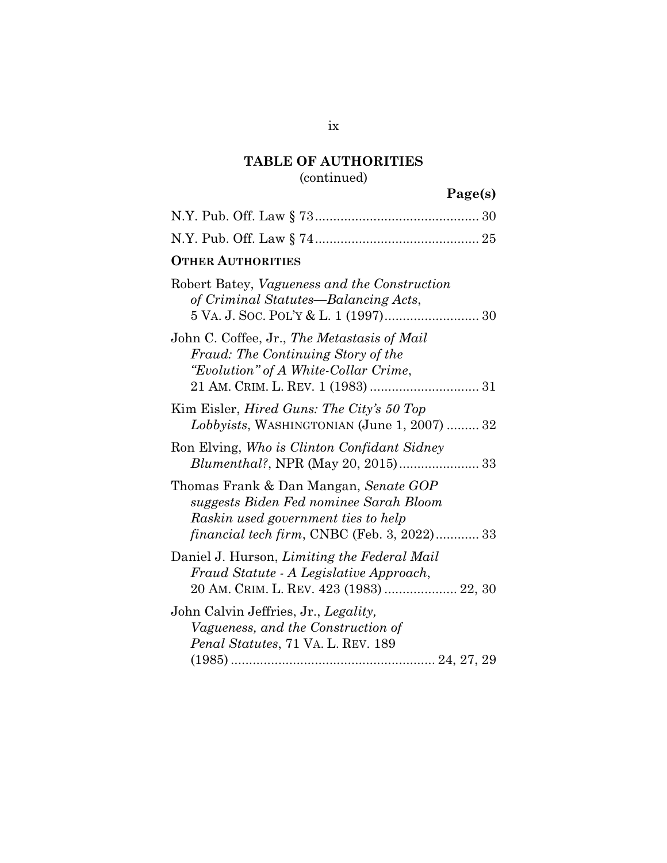## **TABLE OF AUTHORITIES**  (continued)

# **Page(s)**

| <b>OTHER AUTHORITIES</b>                                                                                                                                                     |
|------------------------------------------------------------------------------------------------------------------------------------------------------------------------------|
| Robert Batey, Vagueness and the Construction<br>of Criminal Statutes—Balancing Acts,                                                                                         |
| John C. Coffee, Jr., The Metastasis of Mail<br>Fraud: The Continuing Story of the<br>"Evolution" of A White-Collar Crime,                                                    |
| Kim Eisler, <i>Hired Guns: The City's 50 Top</i><br>$Lobbyists$ , WASHINGTONIAN (June 1, 2007)  32                                                                           |
| Ron Elving, Who is Clinton Confidant Sidney                                                                                                                                  |
| Thomas Frank & Dan Mangan, Senate GOP<br>suggests Biden Fed nominee Sarah Bloom<br>Raskin used government ties to help<br><i>financial tech firm, CNBC</i> (Feb. 3, 2022) 33 |
| Daniel J. Hurson, Limiting the Federal Mail<br>Fraud Statute - A Legislative Approach,<br>20 AM. CRIM. L. REV. 423 (1983)  22, 30                                            |
| John Calvin Jeffries, Jr., Legality,<br>Vagueness, and the Construction of<br>Penal Statutes, 71 VA. L. REV. 189                                                             |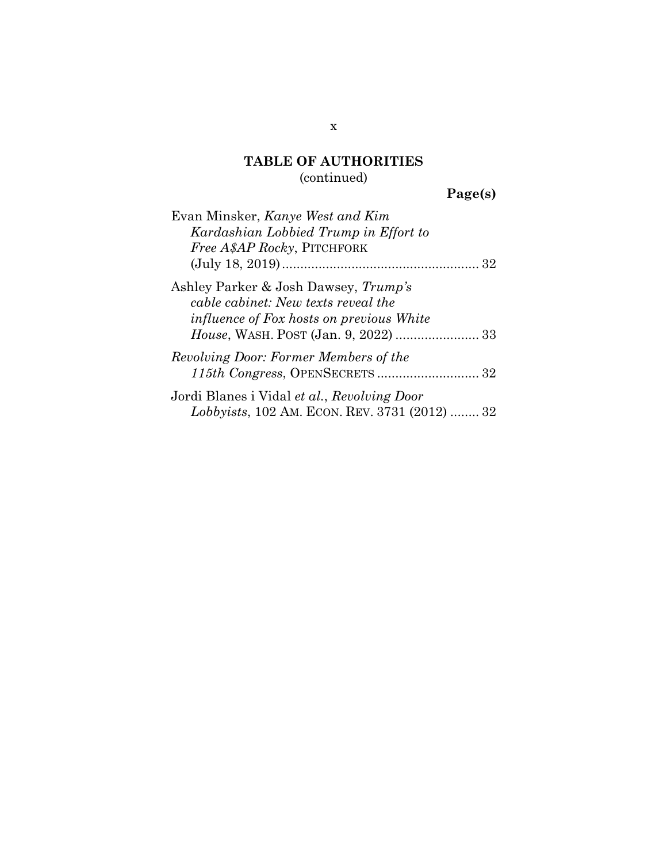## **TABLE OF AUTHORITIES**  (continued)

**Page(s)** 

| Evan Minsker, Kanye West and Kim                                                                                               |  |  |  |  |
|--------------------------------------------------------------------------------------------------------------------------------|--|--|--|--|
| Kardashian Lobbied Trump in Effort to                                                                                          |  |  |  |  |
| <i>Free A\$AP Rocky</i> , PITCHFORK                                                                                            |  |  |  |  |
|                                                                                                                                |  |  |  |  |
| Ashley Parker & Josh Dawsey, Trump's<br>cable cabinet: New texts reveal the<br><i>influence of Fox hosts on previous White</i> |  |  |  |  |
|                                                                                                                                |  |  |  |  |
| Revolving Door: Former Members of the                                                                                          |  |  |  |  |
| Jordi Blanes i Vidal et al., Revolving Door<br>Lobbyists, 102 AM. ECON. REV. 3731 (2012)  32                                   |  |  |  |  |

x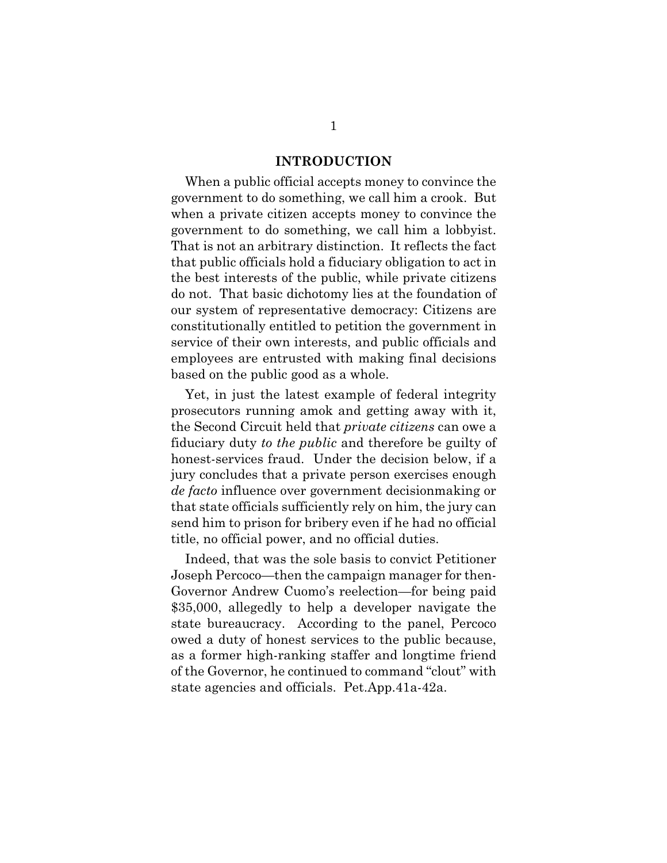#### **INTRODUCTION**

When a public official accepts money to convince the government to do something, we call him a crook. But when a private citizen accepts money to convince the government to do something, we call him a lobbyist. That is not an arbitrary distinction. It reflects the fact that public officials hold a fiduciary obligation to act in the best interests of the public, while private citizens do not. That basic dichotomy lies at the foundation of our system of representative democracy: Citizens are constitutionally entitled to petition the government in service of their own interests, and public officials and employees are entrusted with making final decisions based on the public good as a whole.

Yet, in just the latest example of federal integrity prosecutors running amok and getting away with it, the Second Circuit held that *private citizens* can owe a fiduciary duty *to the public* and therefore be guilty of honest-services fraud. Under the decision below, if a jury concludes that a private person exercises enough *de facto* influence over government decisionmaking or that state officials sufficiently rely on him, the jury can send him to prison for bribery even if he had no official title, no official power, and no official duties.

Indeed, that was the sole basis to convict Petitioner Joseph Percoco—then the campaign manager for then-Governor Andrew Cuomo's reelection—for being paid \$35,000, allegedly to help a developer navigate the state bureaucracy. According to the panel, Percoco owed a duty of honest services to the public because, as a former high-ranking staffer and longtime friend of the Governor, he continued to command "clout" with state agencies and officials. Pet.App.41a-42a.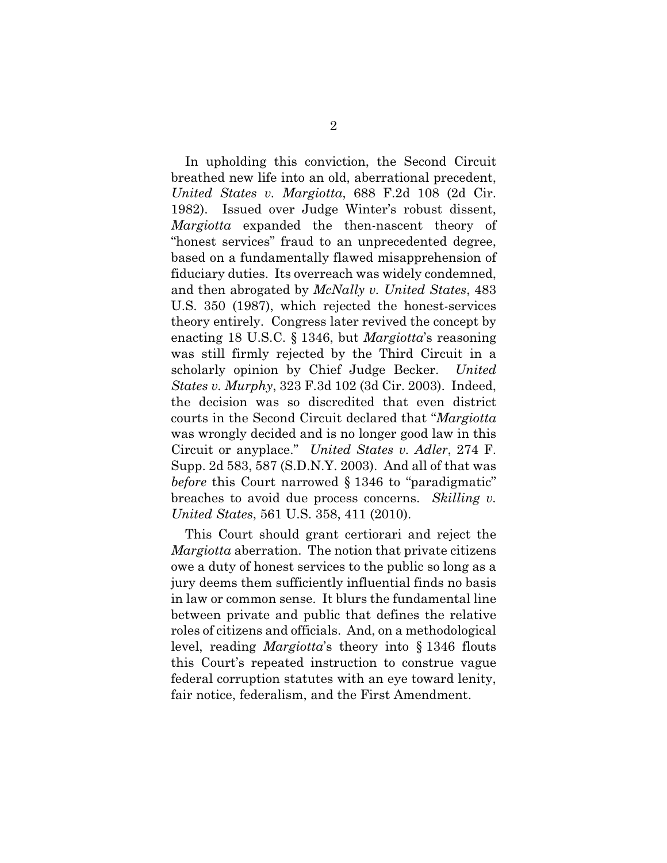In upholding this conviction, the Second Circuit breathed new life into an old, aberrational precedent, *United States v. Margiotta*, 688 F.2d 108 (2d Cir. 1982). Issued over Judge Winter's robust dissent, *Margiotta* expanded the then-nascent theory of "honest services" fraud to an unprecedented degree, based on a fundamentally flawed misapprehension of fiduciary duties. Its overreach was widely condemned, and then abrogated by *McNally v. United States*, 483 U.S. 350 (1987), which rejected the honest-services theory entirely. Congress later revived the concept by enacting 18 U.S.C. § 1346, but *Margiotta*'s reasoning was still firmly rejected by the Third Circuit in a scholarly opinion by Chief Judge Becker. *United States v. Murphy*, 323 F.3d 102 (3d Cir. 2003). Indeed, the decision was so discredited that even district courts in the Second Circuit declared that "*Margiotta* was wrongly decided and is no longer good law in this Circuit or anyplace." *United States v. Adler*, 274 F. Supp. 2d 583, 587 (S.D.N.Y. 2003). And all of that was *before* this Court narrowed § 1346 to "paradigmatic" breaches to avoid due process concerns. *Skilling v. United States*, 561 U.S. 358, 411 (2010).

This Court should grant certiorari and reject the *Margiotta* aberration. The notion that private citizens owe a duty of honest services to the public so long as a jury deems them sufficiently influential finds no basis in law or common sense. It blurs the fundamental line between private and public that defines the relative roles of citizens and officials. And, on a methodological level, reading *Margiotta*'s theory into § 1346 flouts this Court's repeated instruction to construe vague federal corruption statutes with an eye toward lenity, fair notice, federalism, and the First Amendment.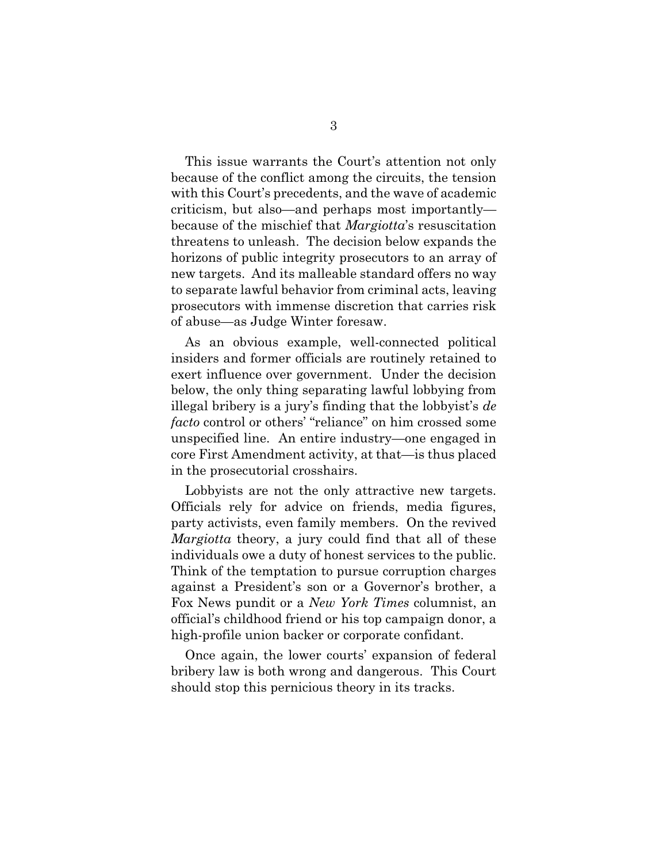This issue warrants the Court's attention not only because of the conflict among the circuits, the tension with this Court's precedents, and the wave of academic criticism, but also—and perhaps most importantly because of the mischief that *Margiotta*'s resuscitation threatens to unleash. The decision below expands the horizons of public integrity prosecutors to an array of new targets. And its malleable standard offers no way to separate lawful behavior from criminal acts, leaving prosecutors with immense discretion that carries risk of abuse—as Judge Winter foresaw.

As an obvious example, well-connected political insiders and former officials are routinely retained to exert influence over government. Under the decision below, the only thing separating lawful lobbying from illegal bribery is a jury's finding that the lobbyist's *de facto* control or others' "reliance" on him crossed some unspecified line. An entire industry—one engaged in core First Amendment activity, at that—is thus placed in the prosecutorial crosshairs.

Lobbyists are not the only attractive new targets. Officials rely for advice on friends, media figures, party activists, even family members. On the revived *Margiotta* theory, a jury could find that all of these individuals owe a duty of honest services to the public. Think of the temptation to pursue corruption charges against a President's son or a Governor's brother, a Fox News pundit or a *New York Times* columnist, an official's childhood friend or his top campaign donor, a high-profile union backer or corporate confidant.

Once again, the lower courts' expansion of federal bribery law is both wrong and dangerous. This Court should stop this pernicious theory in its tracks.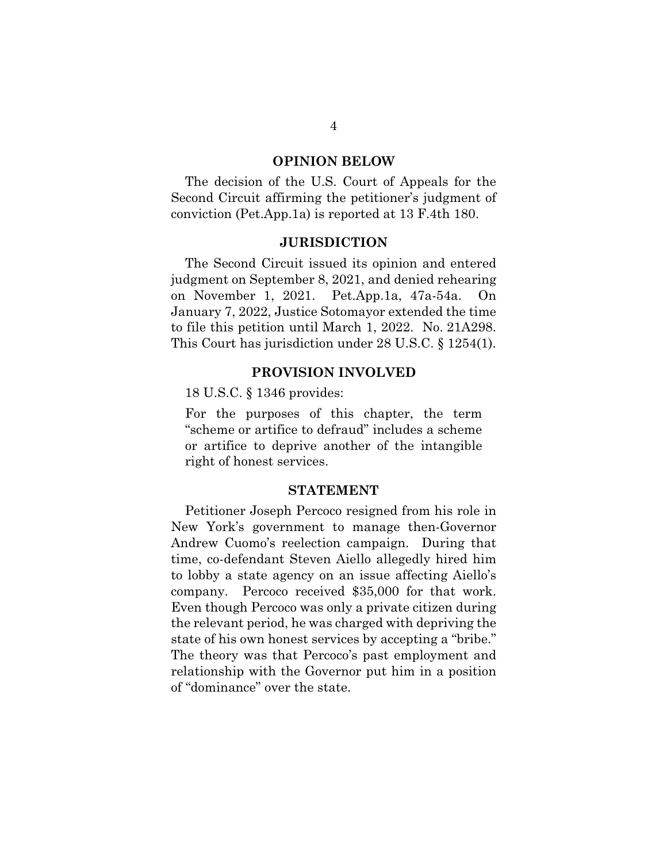#### **OPINION BELOW**

The decision of the U.S. Court of Appeals for the Second Circuit affirming the petitioner's judgment of conviction (Pet.App.1a) is reported at 13 F.4th 180.

#### **JURISDICTION**

The Second Circuit issued its opinion and entered judgment on September 8, 2021, and denied rehearing on November 1, 2021. Pet.App.1a, 47a-54a. On January 7, 2022, Justice Sotomayor extended the time to file this petition until March 1, 2022. No. 21A298. This Court has jurisdiction under 28 U.S.C. § 1254(1).

#### **PROVISION INVOLVED**

18 U.S.C. § 1346 provides:

For the purposes of this chapter, the term "scheme or artifice to defraud" includes a scheme or artifice to deprive another of the intangible right of honest services.

#### **STATEMENT**

Petitioner Joseph Percoco resigned from his role in New York's government to manage then-Governor Andrew Cuomo's reelection campaign. During that time, co-defendant Steven Aiello allegedly hired him to lobby a state agency on an issue affecting Aiello's company. Percoco received \$35,000 for that work. Even though Percoco was only a private citizen during the relevant period, he was charged with depriving the state of his own honest services by accepting a "bribe." The theory was that Percoco's past employment and relationship with the Governor put him in a position of "dominance" over the state.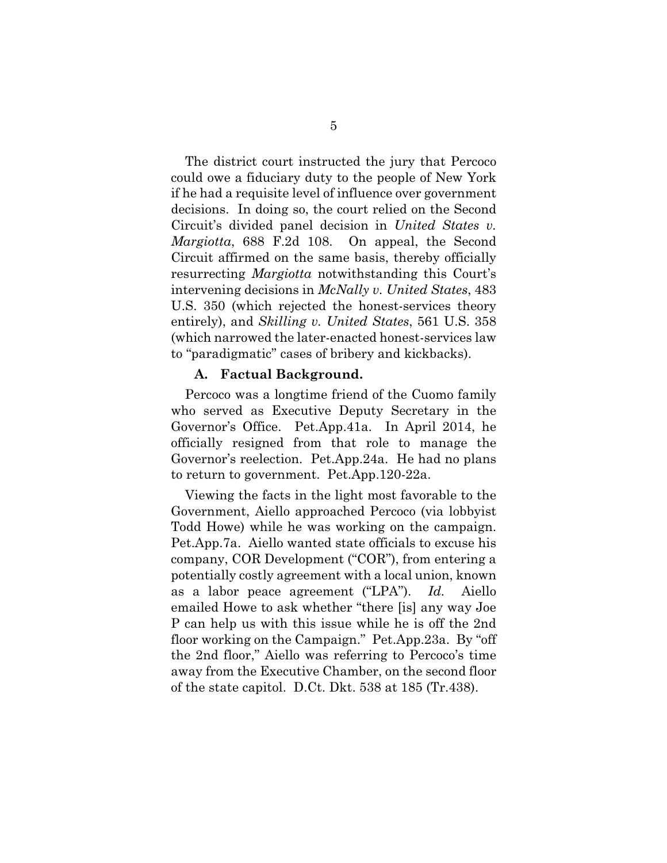The district court instructed the jury that Percoco could owe a fiduciary duty to the people of New York if he had a requisite level of influence over government decisions. In doing so, the court relied on the Second Circuit's divided panel decision in *United States v. Margiotta*, 688 F.2d 108. On appeal, the Second Circuit affirmed on the same basis, thereby officially resurrecting *Margiotta* notwithstanding this Court's intervening decisions in *McNally v. United States*, 483 U.S. 350 (which rejected the honest-services theory entirely), and *Skilling v. United States*, 561 U.S. 358 (which narrowed the later-enacted honest-services law to "paradigmatic" cases of bribery and kickbacks).

#### **A. Factual Background.**

Percoco was a longtime friend of the Cuomo family who served as Executive Deputy Secretary in the Governor's Office. Pet.App.41a. In April 2014, he officially resigned from that role to manage the Governor's reelection. Pet.App.24a. He had no plans to return to government. Pet.App.120-22a.

Viewing the facts in the light most favorable to the Government, Aiello approached Percoco (via lobbyist Todd Howe) while he was working on the campaign. Pet.App.7a. Aiello wanted state officials to excuse his company, COR Development ("COR"), from entering a potentially costly agreement with a local union, known as a labor peace agreement ("LPA"). *Id.* Aiello emailed Howe to ask whether "there [is] any way Joe P can help us with this issue while he is off the 2nd floor working on the Campaign." Pet.App.23a. By "off the 2nd floor," Aiello was referring to Percoco's time away from the Executive Chamber, on the second floor of the state capitol. D.Ct. Dkt. 538 at 185 (Tr.438).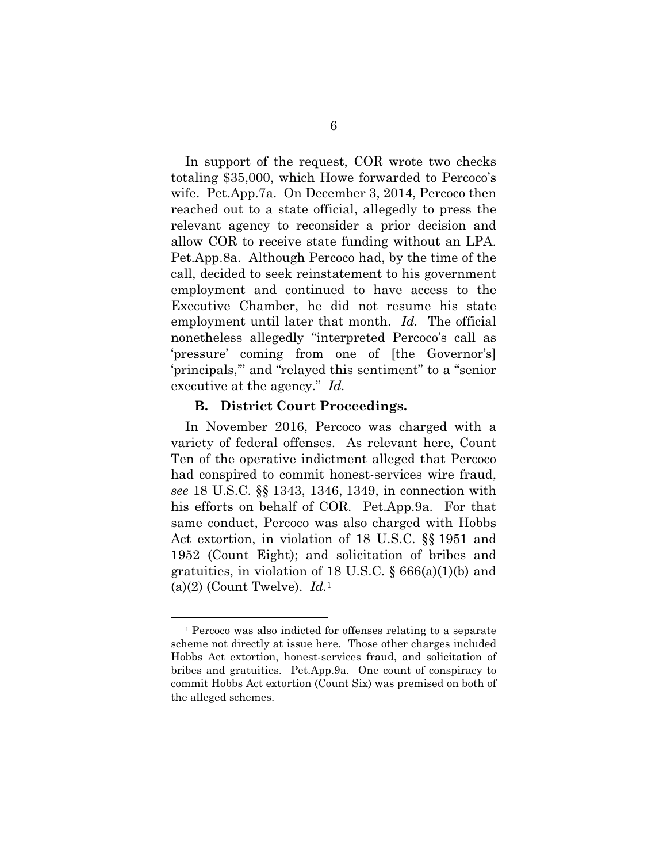In support of the request, COR wrote two checks totaling \$35,000, which Howe forwarded to Percoco's wife. Pet.App.7a. On December 3, 2014, Percoco then reached out to a state official, allegedly to press the relevant agency to reconsider a prior decision and allow COR to receive state funding without an LPA. Pet.App.8a. Although Percoco had, by the time of the call, decided to seek reinstatement to his government employment and continued to have access to the Executive Chamber, he did not resume his state employment until later that month. *Id.* The official nonetheless allegedly "interpreted Percoco's call as 'pressure' coming from one of [the Governor's] 'principals,'" and "relayed this sentiment" to a "senior executive at the agency." *Id.*

#### **B. District Court Proceedings.**

1

In November 2016, Percoco was charged with a variety of federal offenses. As relevant here, Count Ten of the operative indictment alleged that Percoco had conspired to commit honest-services wire fraud, *see* 18 U.S.C. §§ 1343, 1346, 1349, in connection with his efforts on behalf of COR. Pet.App.9a. For that same conduct, Percoco was also charged with Hobbs Act extortion, in violation of 18 U.S.C. §§ 1951 and 1952 (Count Eight); and solicitation of bribes and gratuities, in violation of 18 U.S.C.  $\S 666(a)(1)(b)$  and (a)(2) (Count Twelve). *Id.*<sup>1</sup>

<sup>1</sup> Percoco was also indicted for offenses relating to a separate scheme not directly at issue here. Those other charges included Hobbs Act extortion, honest-services fraud, and solicitation of bribes and gratuities. Pet.App.9a. One count of conspiracy to commit Hobbs Act extortion (Count Six) was premised on both of the alleged schemes.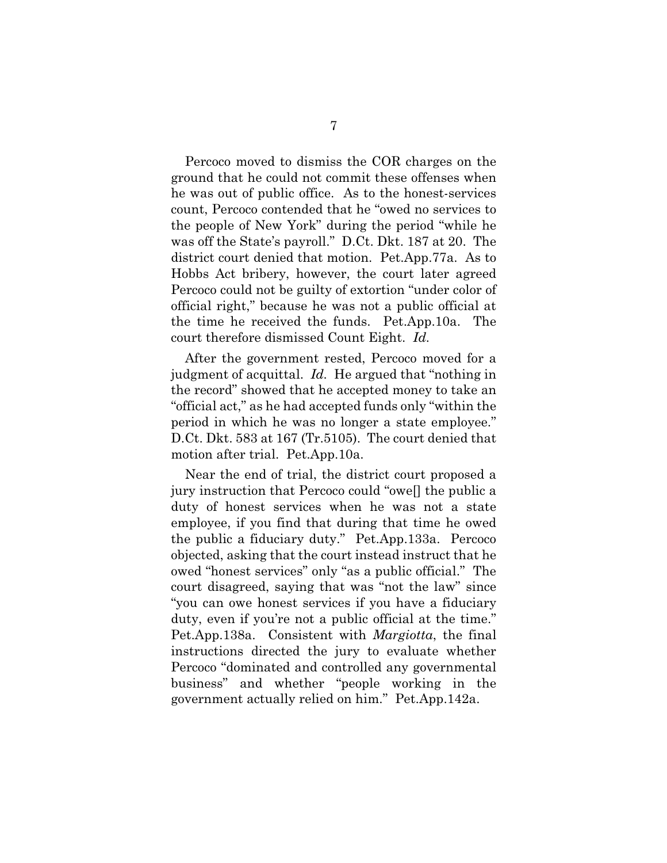Percoco moved to dismiss the COR charges on the ground that he could not commit these offenses when he was out of public office. As to the honest-services count, Percoco contended that he "owed no services to the people of New York" during the period "while he was off the State's payroll." D.Ct. Dkt. 187 at 20. The district court denied that motion. Pet.App.77a. As to Hobbs Act bribery, however, the court later agreed Percoco could not be guilty of extortion "under color of official right," because he was not a public official at the time he received the funds. Pet.App.10a. The court therefore dismissed Count Eight. *Id.*

After the government rested, Percoco moved for a judgment of acquittal. *Id.* He argued that "nothing in the record" showed that he accepted money to take an "official act," as he had accepted funds only "within the period in which he was no longer a state employee." D.Ct. Dkt. 583 at 167 (Tr.5105). The court denied that motion after trial. Pet.App.10a.

Near the end of trial, the district court proposed a jury instruction that Percoco could "owe[] the public a duty of honest services when he was not a state employee, if you find that during that time he owed the public a fiduciary duty." Pet.App.133a. Percoco objected, asking that the court instead instruct that he owed "honest services" only "as a public official." The court disagreed, saying that was "not the law" since "you can owe honest services if you have a fiduciary duty, even if you're not a public official at the time." Pet.App.138a. Consistent with *Margiotta*, the final instructions directed the jury to evaluate whether Percoco "dominated and controlled any governmental business" and whether "people working in the government actually relied on him." Pet.App.142a.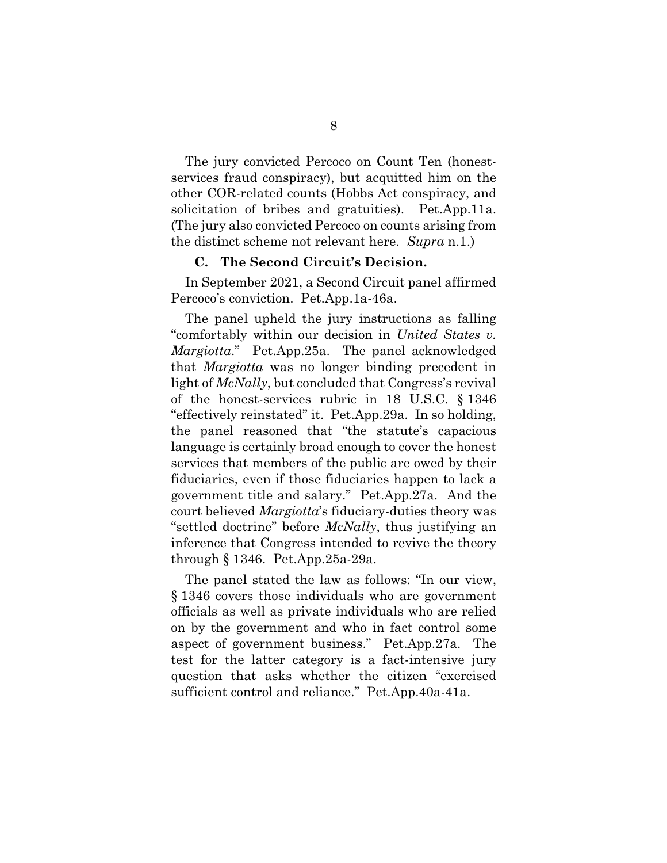The jury convicted Percoco on Count Ten (honestservices fraud conspiracy), but acquitted him on the other COR-related counts (Hobbs Act conspiracy, and solicitation of bribes and gratuities). Pet.App.11a. (The jury also convicted Percoco on counts arising from the distinct scheme not relevant here. *Supra* n.1.)

#### **C. The Second Circuit's Decision.**

In September 2021, a Second Circuit panel affirmed Percoco's conviction. Pet.App.1a-46a.

The panel upheld the jury instructions as falling "comfortably within our decision in *United States v. Margiotta*." Pet.App.25a. The panel acknowledged that *Margiotta* was no longer binding precedent in light of *McNally*, but concluded that Congress's revival of the honest-services rubric in 18 U.S.C. § 1346 "effectively reinstated" it. Pet.App.29a. In so holding, the panel reasoned that "the statute's capacious language is certainly broad enough to cover the honest services that members of the public are owed by their fiduciaries, even if those fiduciaries happen to lack a government title and salary." Pet.App.27a. And the court believed *Margiotta*'s fiduciary-duties theory was "settled doctrine" before *McNally*, thus justifying an inference that Congress intended to revive the theory through § 1346. Pet.App.25a-29a.

The panel stated the law as follows: "In our view, § 1346 covers those individuals who are government officials as well as private individuals who are relied on by the government and who in fact control some aspect of government business." Pet.App.27a. The test for the latter category is a fact-intensive jury question that asks whether the citizen "exercised sufficient control and reliance." Pet.App.40a-41a.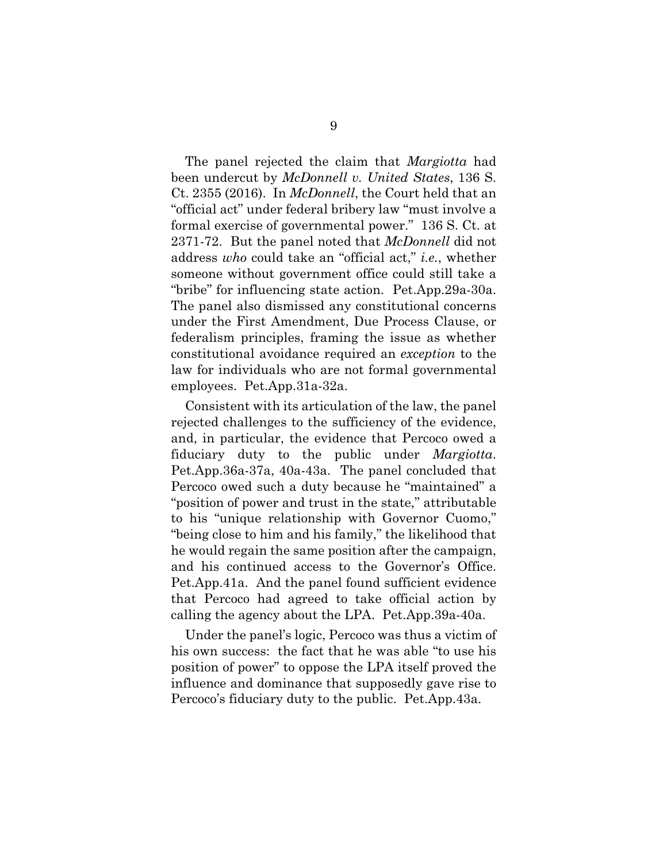The panel rejected the claim that *Margiotta* had been undercut by *McDonnell v. United States*, 136 S. Ct. 2355 (2016). In *McDonnell*, the Court held that an "official act" under federal bribery law "must involve a formal exercise of governmental power." 136 S. Ct. at 2371-72. But the panel noted that *McDonnell* did not address *who* could take an "official act," *i.e.*, whether someone without government office could still take a "bribe" for influencing state action. Pet.App.29a-30a. The panel also dismissed any constitutional concerns under the First Amendment, Due Process Clause, or federalism principles, framing the issue as whether constitutional avoidance required an *exception* to the law for individuals who are not formal governmental employees. Pet.App.31a-32a.

Consistent with its articulation of the law, the panel rejected challenges to the sufficiency of the evidence, and, in particular, the evidence that Percoco owed a fiduciary duty to the public under *Margiotta*. Pet.App.36a-37a, 40a-43a. The panel concluded that Percoco owed such a duty because he "maintained" a "position of power and trust in the state," attributable to his "unique relationship with Governor Cuomo," "being close to him and his family," the likelihood that he would regain the same position after the campaign, and his continued access to the Governor's Office. Pet.App.41a. And the panel found sufficient evidence that Percoco had agreed to take official action by calling the agency about the LPA. Pet.App.39a-40a.

Under the panel's logic, Percoco was thus a victim of his own success: the fact that he was able "to use his position of power" to oppose the LPA itself proved the influence and dominance that supposedly gave rise to Percoco's fiduciary duty to the public. Pet.App.43a.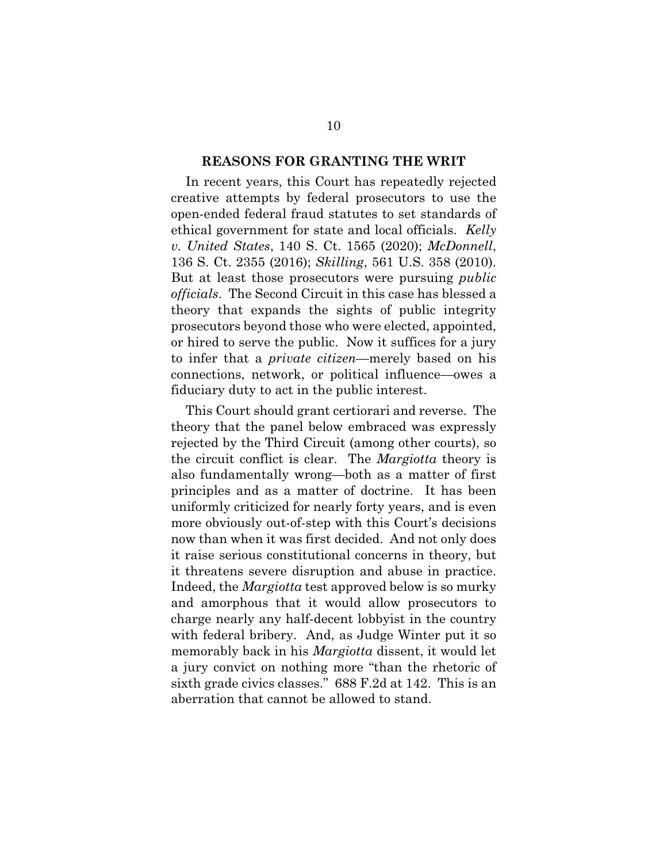#### **REASONS FOR GRANTING THE WRIT**

In recent years, this Court has repeatedly rejected creative attempts by federal prosecutors to use the open-ended federal fraud statutes to set standards of ethical government for state and local officials. *Kelly v. United States*, 140 S. Ct. 1565 (2020); *McDonnell*, 136 S. Ct. 2355 (2016); *Skilling*, 561 U.S. 358 (2010). But at least those prosecutors were pursuing *public officials*. The Second Circuit in this case has blessed a theory that expands the sights of public integrity prosecutors beyond those who were elected, appointed, or hired to serve the public. Now it suffices for a jury to infer that a *private citizen*—merely based on his connections, network, or political influence—owes a fiduciary duty to act in the public interest.

This Court should grant certiorari and reverse. The theory that the panel below embraced was expressly rejected by the Third Circuit (among other courts), so the circuit conflict is clear. The *Margiotta* theory is also fundamentally wrong—both as a matter of first principles and as a matter of doctrine. It has been uniformly criticized for nearly forty years, and is even more obviously out-of-step with this Court's decisions now than when it was first decided. And not only does it raise serious constitutional concerns in theory, but it threatens severe disruption and abuse in practice. Indeed, the *Margiotta* test approved below is so murky and amorphous that it would allow prosecutors to charge nearly any half-decent lobbyist in the country with federal bribery. And, as Judge Winter put it so memorably back in his *Margiotta* dissent, it would let a jury convict on nothing more "than the rhetoric of sixth grade civics classes." 688 F.2d at 142. This is an aberration that cannot be allowed to stand.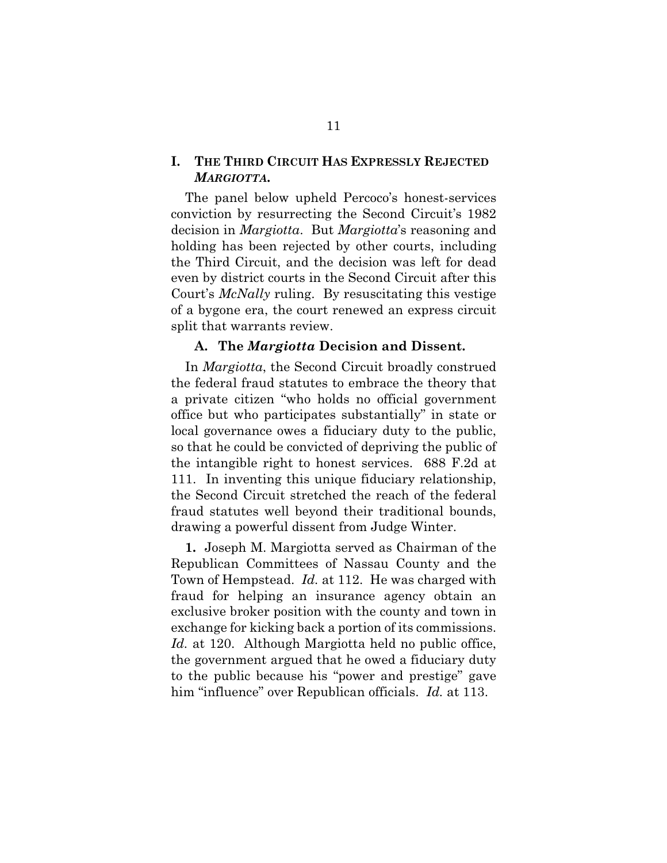#### **I. THE THIRD CIRCUIT HAS EXPRESSLY REJECTED**  *MARGIOTTA***.**

The panel below upheld Percoco's honest-services conviction by resurrecting the Second Circuit's 1982 decision in *Margiotta*. But *Margiotta*'s reasoning and holding has been rejected by other courts, including the Third Circuit, and the decision was left for dead even by district courts in the Second Circuit after this Court's *McNally* ruling. By resuscitating this vestige of a bygone era, the court renewed an express circuit split that warrants review.

#### **A. The** *Margiotta* **Decision and Dissent.**

In *Margiotta*, the Second Circuit broadly construed the federal fraud statutes to embrace the theory that a private citizen "who holds no official government office but who participates substantially" in state or local governance owes a fiduciary duty to the public, so that he could be convicted of depriving the public of the intangible right to honest services. 688 F.2d at 111. In inventing this unique fiduciary relationship, the Second Circuit stretched the reach of the federal fraud statutes well beyond their traditional bounds, drawing a powerful dissent from Judge Winter.

**1.** Joseph M. Margiotta served as Chairman of the Republican Committees of Nassau County and the Town of Hempstead. *Id.* at 112. He was charged with fraud for helping an insurance agency obtain an exclusive broker position with the county and town in exchange for kicking back a portion of its commissions. *Id.* at 120. Although Margiotta held no public office, the government argued that he owed a fiduciary duty to the public because his "power and prestige" gave him "influence" over Republican officials. *Id.* at 113.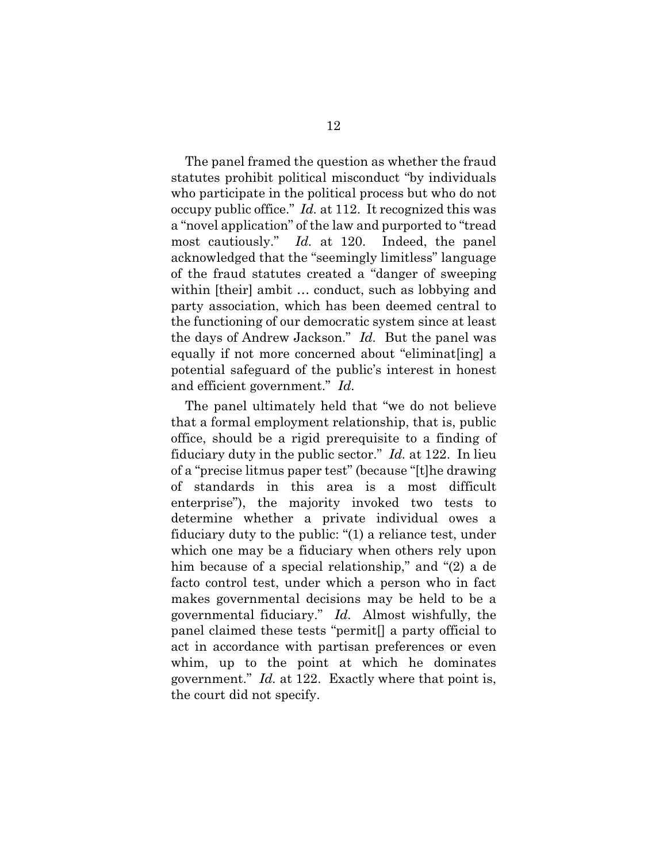The panel framed the question as whether the fraud statutes prohibit political misconduct "by individuals who participate in the political process but who do not occupy public office." *Id.* at 112. It recognized this was a "novel application" of the law and purported to "tread most cautiously." *Id.* at 120. Indeed, the panel acknowledged that the "seemingly limitless" language of the fraud statutes created a "danger of sweeping within [their] ambit … conduct, such as lobbying and party association, which has been deemed central to the functioning of our democratic system since at least the days of Andrew Jackson." *Id.* But the panel was equally if not more concerned about "eliminat[ing] a potential safeguard of the public's interest in honest and efficient government." *Id.*

The panel ultimately held that "we do not believe that a formal employment relationship, that is, public office, should be a rigid prerequisite to a finding of fiduciary duty in the public sector." *Id.* at 122. In lieu of a "precise litmus paper test" (because "[t]he drawing of standards in this area is a most difficult enterprise"), the majority invoked two tests to determine whether a private individual owes a fiduciary duty to the public: "(1) a reliance test, under which one may be a fiduciary when others rely upon him because of a special relationship," and "(2) a de facto control test, under which a person who in fact makes governmental decisions may be held to be a governmental fiduciary." *Id.* Almost wishfully, the panel claimed these tests "permit[] a party official to act in accordance with partisan preferences or even whim, up to the point at which he dominates government." *Id.* at 122. Exactly where that point is, the court did not specify.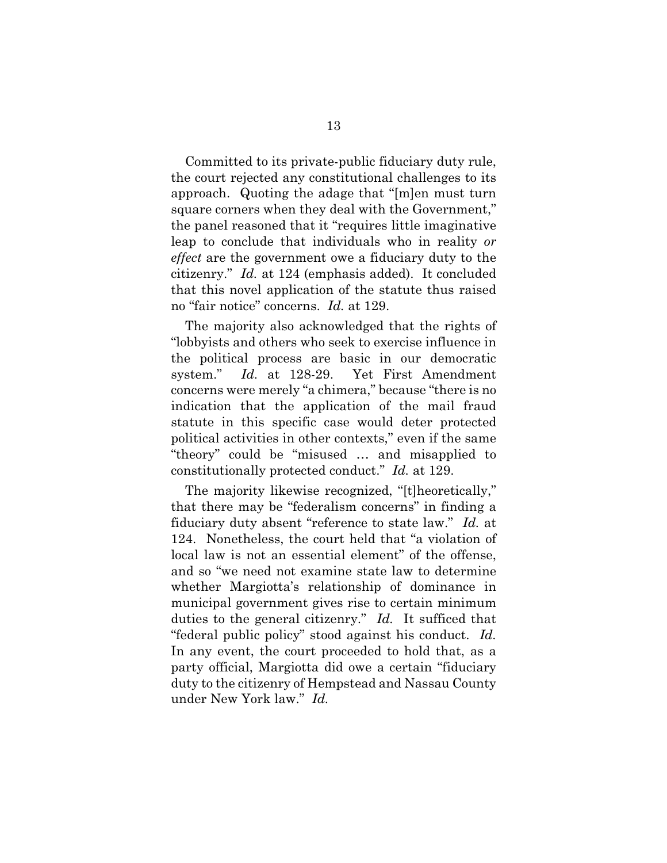Committed to its private-public fiduciary duty rule, the court rejected any constitutional challenges to its approach. Quoting the adage that "[m]en must turn square corners when they deal with the Government," the panel reasoned that it "requires little imaginative leap to conclude that individuals who in reality *or effect* are the government owe a fiduciary duty to the citizenry." *Id.* at 124 (emphasis added). It concluded that this novel application of the statute thus raised no "fair notice" concerns. *Id.* at 129.

The majority also acknowledged that the rights of "lobbyists and others who seek to exercise influence in the political process are basic in our democratic system." *Id.* at 128-29. Yet First Amendment concerns were merely "a chimera," because "there is no indication that the application of the mail fraud statute in this specific case would deter protected political activities in other contexts," even if the same "theory" could be "misused … and misapplied to constitutionally protected conduct." *Id.* at 129.

The majority likewise recognized, "[t]heoretically," that there may be "federalism concerns" in finding a fiduciary duty absent "reference to state law." *Id.* at 124. Nonetheless, the court held that "a violation of local law is not an essential element" of the offense, and so "we need not examine state law to determine whether Margiotta's relationship of dominance in municipal government gives rise to certain minimum duties to the general citizenry." *Id.* It sufficed that "federal public policy" stood against his conduct. *Id.* In any event, the court proceeded to hold that, as a party official, Margiotta did owe a certain "fiduciary duty to the citizenry of Hempstead and Nassau County under New York law." *Id.*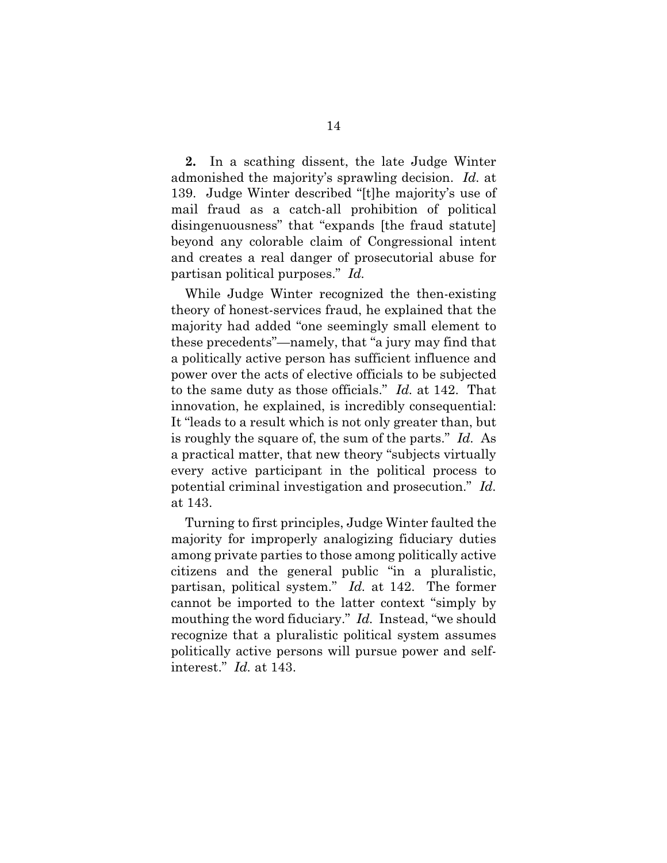**2.** In a scathing dissent, the late Judge Winter admonished the majority's sprawling decision. *Id.* at 139. Judge Winter described "[t]he majority's use of mail fraud as a catch-all prohibition of political disingenuousness" that "expands [the fraud statute] beyond any colorable claim of Congressional intent and creates a real danger of prosecutorial abuse for partisan political purposes." *Id.*

While Judge Winter recognized the then-existing theory of honest-services fraud, he explained that the majority had added "one seemingly small element to these precedents"—namely, that "a jury may find that a politically active person has sufficient influence and power over the acts of elective officials to be subjected to the same duty as those officials." *Id.* at 142. That innovation, he explained, is incredibly consequential: It "leads to a result which is not only greater than, but is roughly the square of, the sum of the parts." *Id.* As a practical matter, that new theory "subjects virtually every active participant in the political process to potential criminal investigation and prosecution." *Id.* at 143.

Turning to first principles, Judge Winter faulted the majority for improperly analogizing fiduciary duties among private parties to those among politically active citizens and the general public "in a pluralistic, partisan, political system." *Id.* at 142. The former cannot be imported to the latter context "simply by mouthing the word fiduciary." *Id.* Instead, "we should recognize that a pluralistic political system assumes politically active persons will pursue power and selfinterest." *Id.* at 143.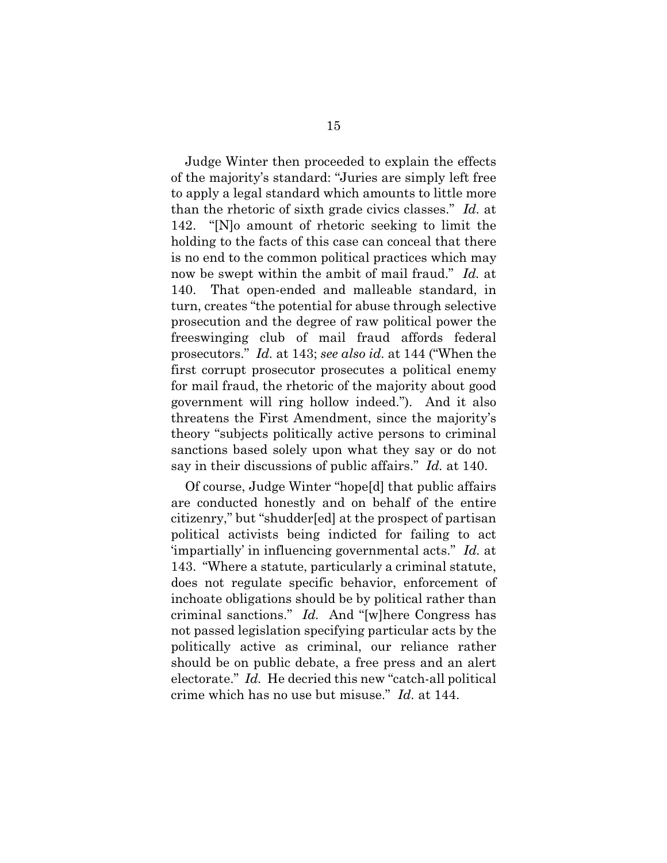Judge Winter then proceeded to explain the effects of the majority's standard: "Juries are simply left free to apply a legal standard which amounts to little more than the rhetoric of sixth grade civics classes." *Id.* at 142."[N]o amount of rhetoric seeking to limit the holding to the facts of this case can conceal that there is no end to the common political practices which may now be swept within the ambit of mail fraud." *Id.* at 140. That open-ended and malleable standard, in turn, creates "the potential for abuse through selective prosecution and the degree of raw political power the freeswinging club of mail fraud affords federal prosecutors." *Id.* at 143; *see also id.* at 144 ("When the first corrupt prosecutor prosecutes a political enemy for mail fraud, the rhetoric of the majority about good government will ring hollow indeed."). And it also threatens the First Amendment, since the majority's theory "subjects politically active persons to criminal sanctions based solely upon what they say or do not say in their discussions of public affairs." *Id.* at 140.

Of course, Judge Winter "hope[d] that public affairs are conducted honestly and on behalf of the entire citizenry," but "shudder[ed] at the prospect of partisan political activists being indicted for failing to act 'impartially' in influencing governmental acts." *Id.* at 143. "Where a statute, particularly a criminal statute, does not regulate specific behavior, enforcement of inchoate obligations should be by political rather than criminal sanctions." *Id.* And "[w]here Congress has not passed legislation specifying particular acts by the politically active as criminal, our reliance rather should be on public debate, a free press and an alert electorate." *Id.* He decried this new "catch-all political crime which has no use but misuse." *Id.* at 144.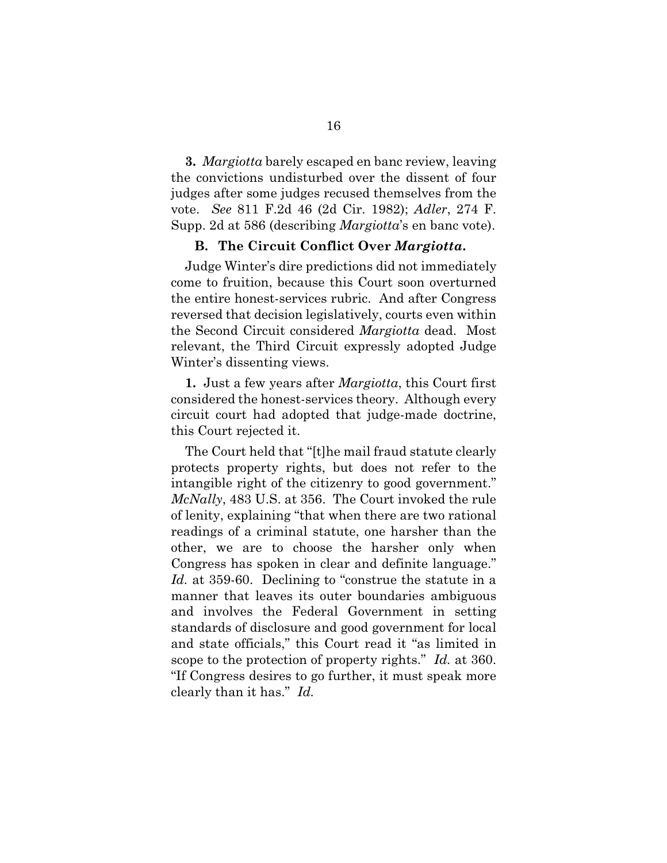**3.** *Margiotta* barely escaped en banc review, leaving the convictions undisturbed over the dissent of four judges after some judges recused themselves from the vote. *See* 811 F.2d 46 (2d Cir. 1982); *Adler*, 274 F. Supp. 2d at 586 (describing *Margiotta*'s en banc vote).

#### **B. The Circuit Conflict Over** *Margiotta***.**

Judge Winter's dire predictions did not immediately come to fruition, because this Court soon overturned the entire honest-services rubric. And after Congress reversed that decision legislatively, courts even within the Second Circuit considered *Margiotta* dead. Most relevant, the Third Circuit expressly adopted Judge Winter's dissenting views.

**1.** Just a few years after *Margiotta*, this Court first considered the honest-services theory. Although every circuit court had adopted that judge-made doctrine, this Court rejected it.

The Court held that "[t]he mail fraud statute clearly protects property rights, but does not refer to the intangible right of the citizenry to good government." *McNally*, 483 U.S. at 356. The Court invoked the rule of lenity, explaining "that when there are two rational readings of a criminal statute, one harsher than the other, we are to choose the harsher only when Congress has spoken in clear and definite language." *Id.* at 359-60. Declining to "construe the statute in a manner that leaves its outer boundaries ambiguous and involves the Federal Government in setting standards of disclosure and good government for local and state officials," this Court read it "as limited in scope to the protection of property rights." *Id.* at 360. "If Congress desires to go further, it must speak more clearly than it has." *Id.*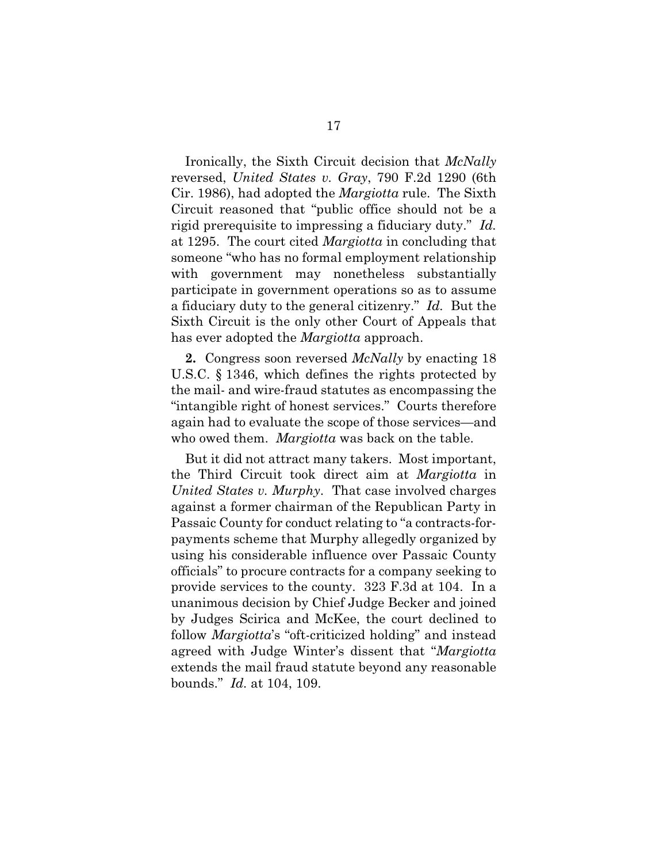Ironically, the Sixth Circuit decision that *McNally*  reversed, *United States v. Gray*, 790 F.2d 1290 (6th Cir. 1986), had adopted the *Margiotta* rule. The Sixth Circuit reasoned that "public office should not be a rigid prerequisite to impressing a fiduciary duty." *Id.* at 1295. The court cited *Margiotta* in concluding that someone "who has no formal employment relationship with government may nonetheless substantially participate in government operations so as to assume a fiduciary duty to the general citizenry." *Id.* But the Sixth Circuit is the only other Court of Appeals that has ever adopted the *Margiotta* approach.

**2.** Congress soon reversed *McNally* by enacting 18 U.S.C. § 1346, which defines the rights protected by the mail- and wire-fraud statutes as encompassing the "intangible right of honest services." Courts therefore again had to evaluate the scope of those services—and who owed them. *Margiotta* was back on the table.

But it did not attract many takers. Most important, the Third Circuit took direct aim at *Margiotta* in *United States v. Murphy*. That case involved charges against a former chairman of the Republican Party in Passaic County for conduct relating to "a contracts-forpayments scheme that Murphy allegedly organized by using his considerable influence over Passaic County officials" to procure contracts for a company seeking to provide services to the county. 323 F.3d at 104. In a unanimous decision by Chief Judge Becker and joined by Judges Scirica and McKee, the court declined to follow *Margiotta*'s "oft-criticized holding" and instead agreed with Judge Winter's dissent that "*Margiotta* extends the mail fraud statute beyond any reasonable bounds." *Id.* at 104, 109.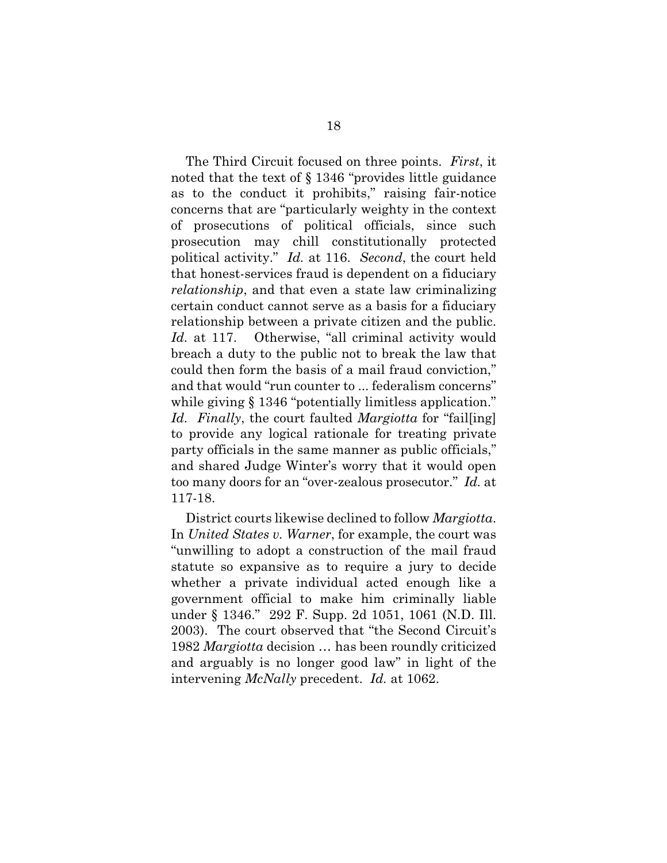The Third Circuit focused on three points. *First*, it noted that the text of § 1346 "provides little guidance as to the conduct it prohibits," raising fair-notice concerns that are "particularly weighty in the context of prosecutions of political officials, since such prosecution may chill constitutionally protected political activity." *Id.* at 116. *Second*, the court held that honest-services fraud is dependent on a fiduciary *relationship*, and that even a state law criminalizing certain conduct cannot serve as a basis for a fiduciary relationship between a private citizen and the public. *Id.* at 117. Otherwise, "all criminal activity would breach a duty to the public not to break the law that could then form the basis of a mail fraud conviction," and that would "run counter to ... federalism concerns" while giving § 1346 "potentially limitless application." *Id. Finally*, the court faulted *Margiotta* for "fail[ing] to provide any logical rationale for treating private party officials in the same manner as public officials," and shared Judge Winter's worry that it would open too many doors for an "over-zealous prosecutor." *Id.* at 117-18.

District courts likewise declined to follow *Margiotta*. In *United States v. Warner*, for example, the court was "unwilling to adopt a construction of the mail fraud statute so expansive as to require a jury to decide whether a private individual acted enough like a government official to make him criminally liable under § 1346." 292 F. Supp. 2d 1051, 1061 (N.D. Ill. 2003). The court observed that "the Second Circuit's 1982 *Margiotta* decision … has been roundly criticized and arguably is no longer good law" in light of the intervening *McNally* precedent. *Id.* at 1062.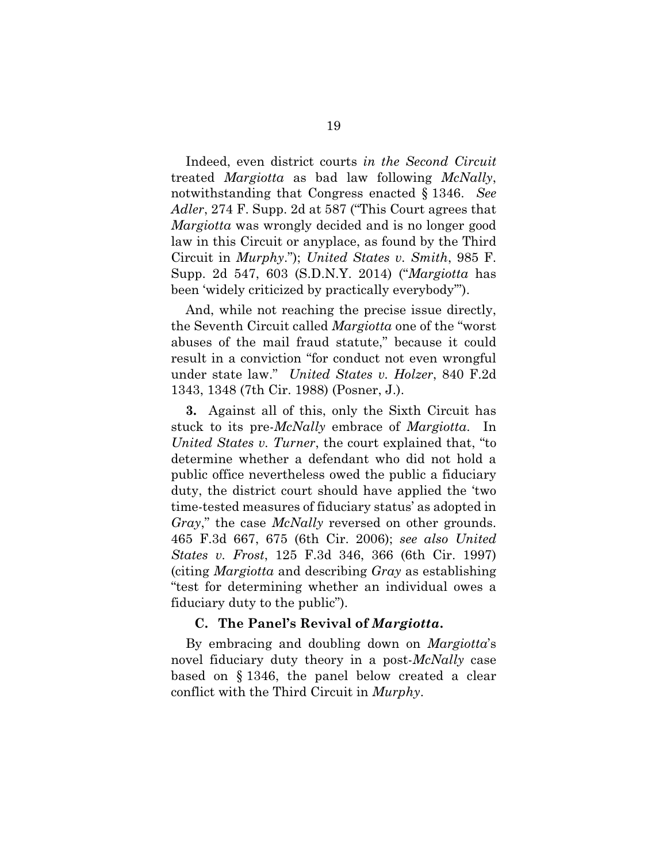Indeed, even district courts *in the Second Circuit* treated *Margiotta* as bad law following *McNally*, notwithstanding that Congress enacted § 1346. *See Adler*, 274 F. Supp. 2d at 587 ("This Court agrees that *Margiotta* was wrongly decided and is no longer good law in this Circuit or anyplace, as found by the Third Circuit in *Murphy*."); *United States v. Smith*, 985 F. Supp. 2d 547, 603 (S.D.N.Y. 2014) ("*Margiotta* has been 'widely criticized by practically everybody'").

And, while not reaching the precise issue directly, the Seventh Circuit called *Margiotta* one of the "worst abuses of the mail fraud statute," because it could result in a conviction "for conduct not even wrongful under state law." *United States v. Holzer*, 840 F.2d 1343, 1348 (7th Cir. 1988) (Posner, J.).

**3.** Against all of this, only the Sixth Circuit has stuck to its pre-*McNally* embrace of *Margiotta*. In *United States v. Turner*, the court explained that, "to determine whether a defendant who did not hold a public office nevertheless owed the public a fiduciary duty, the district court should have applied the 'two time-tested measures of fiduciary status' as adopted in *Gray*," the case *McNally* reversed on other grounds. 465 F.3d 667, 675 (6th Cir. 2006); *see also United States v. Frost*, 125 F.3d 346, 366 (6th Cir. 1997) (citing *Margiotta* and describing *Gray* as establishing "test for determining whether an individual owes a fiduciary duty to the public").

#### **C. The Panel's Revival of** *Margiotta***.**

By embracing and doubling down on *Margiotta*'s novel fiduciary duty theory in a post-*McNally* case based on § 1346, the panel below created a clear conflict with the Third Circuit in *Murphy*.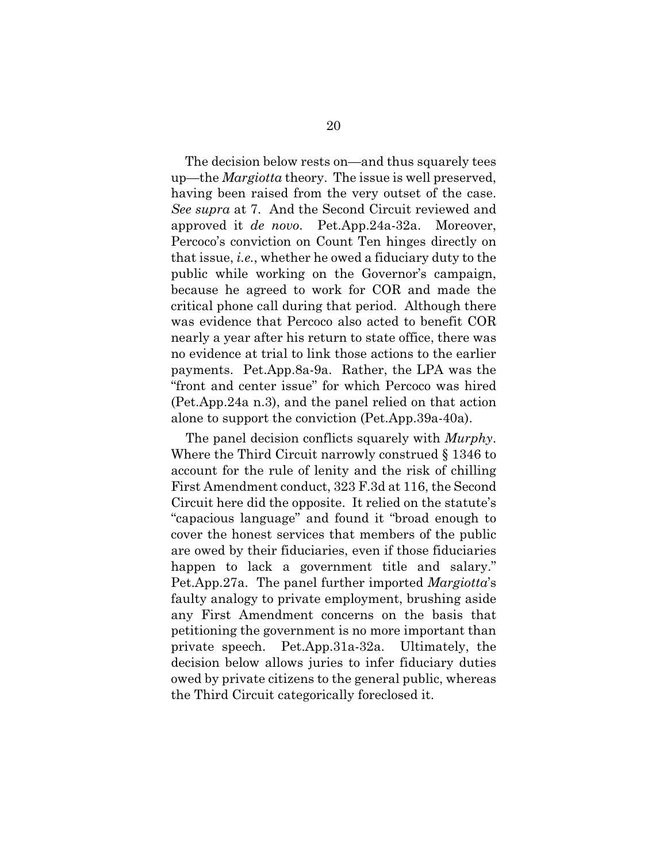The decision below rests on—and thus squarely tees up—the *Margiotta* theory. The issue is well preserved, having been raised from the very outset of the case. *See supra* at 7. And the Second Circuit reviewed and approved it *de novo*. Pet.App.24a-32a. Moreover, Percoco's conviction on Count Ten hinges directly on that issue, *i.e.*, whether he owed a fiduciary duty to the public while working on the Governor's campaign, because he agreed to work for COR and made the critical phone call during that period. Although there was evidence that Percoco also acted to benefit COR nearly a year after his return to state office, there was no evidence at trial to link those actions to the earlier payments. Pet.App.8a-9a. Rather, the LPA was the "front and center issue" for which Percoco was hired (Pet.App.24a n.3), and the panel relied on that action alone to support the conviction (Pet.App.39a-40a).

The panel decision conflicts squarely with *Murphy*. Where the Third Circuit narrowly construed § 1346 to account for the rule of lenity and the risk of chilling First Amendment conduct, 323 F.3d at 116, the Second Circuit here did the opposite. It relied on the statute's "capacious language" and found it "broad enough to cover the honest services that members of the public are owed by their fiduciaries, even if those fiduciaries happen to lack a government title and salary." Pet.App.27a. The panel further imported *Margiotta*'s faulty analogy to private employment, brushing aside any First Amendment concerns on the basis that petitioning the government is no more important than private speech. Pet.App.31a-32a. Ultimately, the decision below allows juries to infer fiduciary duties owed by private citizens to the general public, whereas the Third Circuit categorically foreclosed it.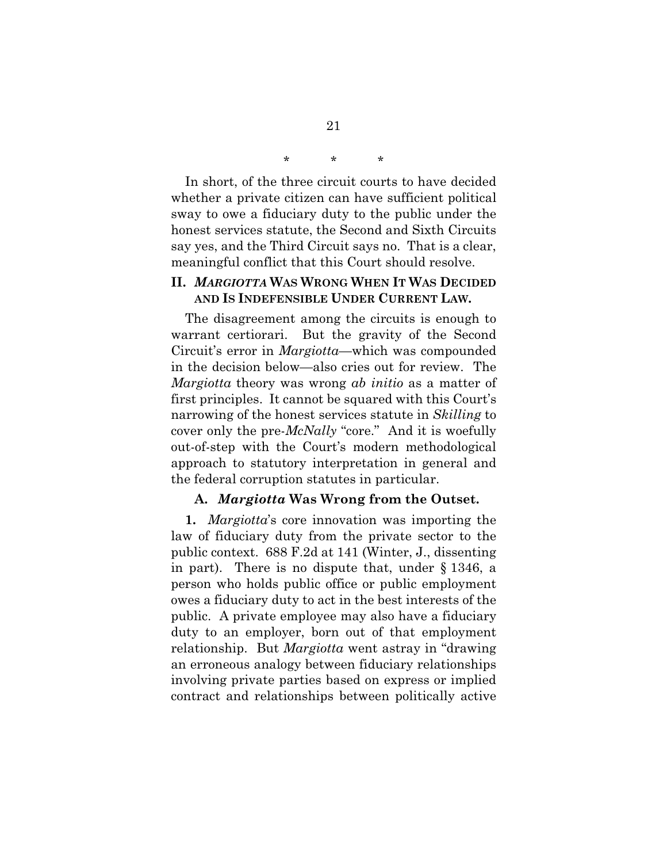\* \* \*

In short, of the three circuit courts to have decided whether a private citizen can have sufficient political sway to owe a fiduciary duty to the public under the honest services statute, the Second and Sixth Circuits say yes, and the Third Circuit says no. That is a clear, meaningful conflict that this Court should resolve.

### **II.** *MARGIOTTA* **WAS WRONG WHEN IT WAS DECIDED AND IS INDEFENSIBLE UNDER CURRENT LAW.**

The disagreement among the circuits is enough to warrant certiorari. But the gravity of the Second Circuit's error in *Margiotta*—which was compounded in the decision below—also cries out for review. The *Margiotta* theory was wrong *ab initio* as a matter of first principles. It cannot be squared with this Court's narrowing of the honest services statute in *Skilling* to cover only the pre-*McNally* "core." And it is woefully out-of-step with the Court's modern methodological approach to statutory interpretation in general and the federal corruption statutes in particular.

#### **A.** *Margiotta* **Was Wrong from the Outset.**

**1.** *Margiotta*'s core innovation was importing the law of fiduciary duty from the private sector to the public context. 688 F.2d at 141 (Winter, J., dissenting in part). There is no dispute that, under § 1346, a person who holds public office or public employment owes a fiduciary duty to act in the best interests of the public. A private employee may also have a fiduciary duty to an employer, born out of that employment relationship. But *Margiotta* went astray in "drawing an erroneous analogy between fiduciary relationships involving private parties based on express or implied contract and relationships between politically active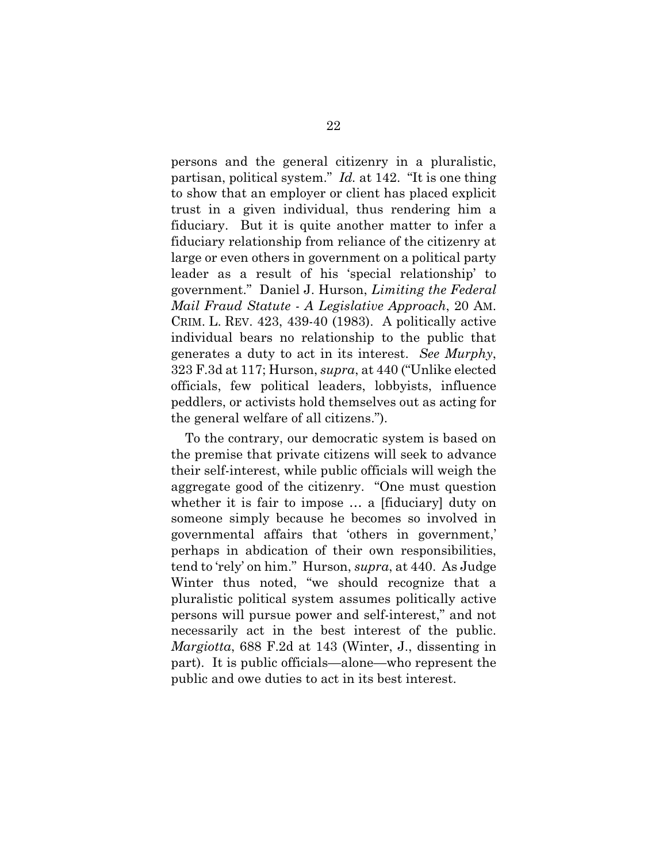persons and the general citizenry in a pluralistic, partisan, political system." *Id.* at 142. "It is one thing to show that an employer or client has placed explicit trust in a given individual, thus rendering him a fiduciary. But it is quite another matter to infer a fiduciary relationship from reliance of the citizenry at large or even others in government on a political party leader as a result of his 'special relationship' to government." Daniel J. Hurson, *Limiting the Federal Mail Fraud Statute - A Legislative Approach*, 20 AM. CRIM. L. REV. 423, 439-40 (1983). A politically active individual bears no relationship to the public that generates a duty to act in its interest. *See Murphy*, 323 F.3d at 117; Hurson, *supra*, at 440 ("Unlike elected officials, few political leaders, lobbyists, influence peddlers, or activists hold themselves out as acting for the general welfare of all citizens.").

To the contrary, our democratic system is based on the premise that private citizens will seek to advance their self-interest, while public officials will weigh the aggregate good of the citizenry. "One must question whether it is fair to impose … a [fiduciary] duty on someone simply because he becomes so involved in governmental affairs that 'others in government,' perhaps in abdication of their own responsibilities, tend to 'rely' on him." Hurson, *supra*, at 440. As Judge Winter thus noted, "we should recognize that a pluralistic political system assumes politically active persons will pursue power and self-interest," and not necessarily act in the best interest of the public. *Margiotta*, 688 F.2d at 143 (Winter, J., dissenting in part). It is public officials—alone—who represent the public and owe duties to act in its best interest.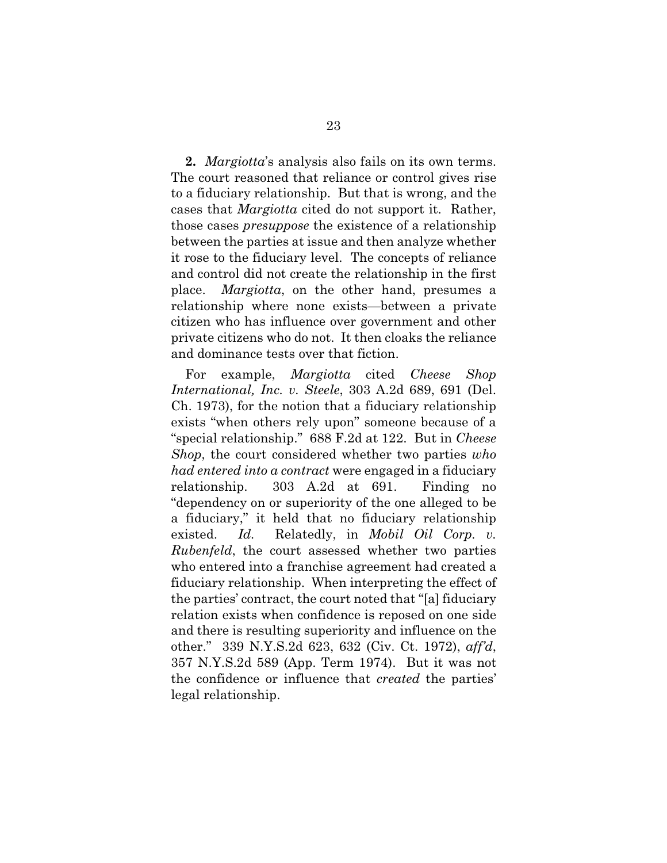**2.** *Margiotta*'s analysis also fails on its own terms. The court reasoned that reliance or control gives rise to a fiduciary relationship. But that is wrong, and the cases that *Margiotta* cited do not support it. Rather, those cases *presuppose* the existence of a relationship between the parties at issue and then analyze whether it rose to the fiduciary level. The concepts of reliance and control did not create the relationship in the first place. *Margiotta*, on the other hand, presumes a relationship where none exists—between a private citizen who has influence over government and other private citizens who do not. It then cloaks the reliance and dominance tests over that fiction.

For example, *Margiotta* cited *Cheese Shop International, Inc. v. Steele*, 303 A.2d 689, 691 (Del. Ch. 1973), for the notion that a fiduciary relationship exists "when others rely upon" someone because of a "special relationship." 688 F.2d at 122. But in *Cheese Shop*, the court considered whether two parties *who had entered into a contract* were engaged in a fiduciary relationship. 303 A.2d at 691. Finding no "dependency on or superiority of the one alleged to be a fiduciary," it held that no fiduciary relationship existed. *Id.* Relatedly, in *Mobil Oil Corp. v. Rubenfeld*, the court assessed whether two parties who entered into a franchise agreement had created a fiduciary relationship. When interpreting the effect of the parties' contract, the court noted that "[a] fiduciary relation exists when confidence is reposed on one side and there is resulting superiority and influence on the other." 339 N.Y.S.2d 623, 632 (Civ. Ct. 1972), *aff'd*, 357 N.Y.S.2d 589 (App. Term 1974). But it was not the confidence or influence that *created* the parties' legal relationship.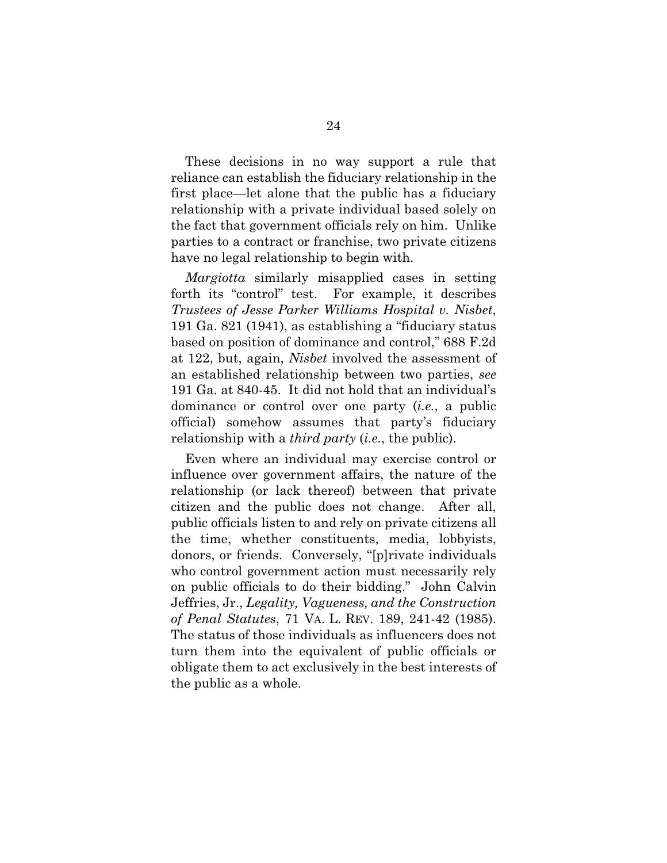These decisions in no way support a rule that reliance can establish the fiduciary relationship in the first place—let alone that the public has a fiduciary relationship with a private individual based solely on the fact that government officials rely on him. Unlike parties to a contract or franchise, two private citizens have no legal relationship to begin with.

*Margiotta* similarly misapplied cases in setting forth its "control" test. For example, it describes *Trustees of Jesse Parker Williams Hospital v. Nisbet*, 191 Ga. 821 (1941), as establishing a "fiduciary status based on position of dominance and control," 688 F.2d at 122, but, again, *Nisbet* involved the assessment of an established relationship between two parties, *see*  191 Ga. at 840-45. It did not hold that an individual's dominance or control over one party (*i.e.*, a public official) somehow assumes that party's fiduciary relationship with a *third party* (*i.e.*, the public).

Even where an individual may exercise control or influence over government affairs, the nature of the relationship (or lack thereof) between that private citizen and the public does not change. After all, public officials listen to and rely on private citizens all the time, whether constituents, media, lobbyists, donors, or friends. Conversely, "[p]rivate individuals who control government action must necessarily rely on public officials to do their bidding." John Calvin Jeffries, Jr., *Legality, Vagueness, and the Construction of Penal Statutes*, 71 VA. L. REV. 189, 241-42 (1985). The status of those individuals as influencers does not turn them into the equivalent of public officials or obligate them to act exclusively in the best interests of the public as a whole.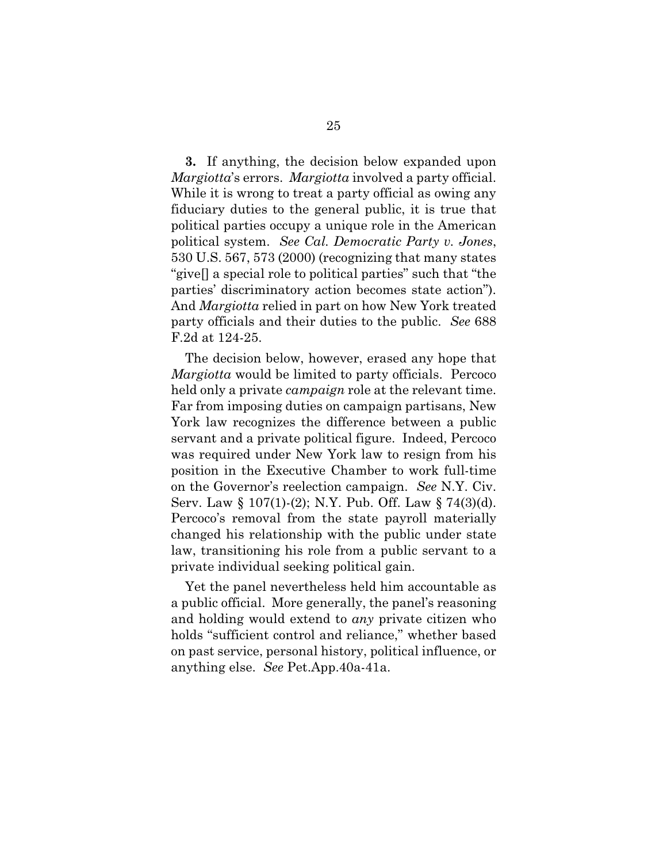**3.** If anything, the decision below expanded upon *Margiotta*'s errors. *Margiotta* involved a party official. While it is wrong to treat a party official as owing any fiduciary duties to the general public, it is true that political parties occupy a unique role in the American political system. *See Cal. Democratic Party v. Jones*, 530 U.S. 567, 573 (2000) (recognizing that many states "give[] a special role to political parties" such that "the parties' discriminatory action becomes state action"). And *Margiotta* relied in part on how New York treated party officials and their duties to the public. *See* 688 F.2d at 124-25.

The decision below, however, erased any hope that *Margiotta* would be limited to party officials. Percoco held only a private *campaign* role at the relevant time. Far from imposing duties on campaign partisans, New York law recognizes the difference between a public servant and a private political figure. Indeed, Percoco was required under New York law to resign from his position in the Executive Chamber to work full-time on the Governor's reelection campaign. *See* N.Y. Civ. Serv. Law § 107(1)-(2); N.Y. Pub. Off. Law § 74(3)(d). Percoco's removal from the state payroll materially changed his relationship with the public under state law, transitioning his role from a public servant to a private individual seeking political gain.

Yet the panel nevertheless held him accountable as a public official. More generally, the panel's reasoning and holding would extend to *any* private citizen who holds "sufficient control and reliance," whether based on past service, personal history, political influence, or anything else. *See* Pet.App.40a-41a.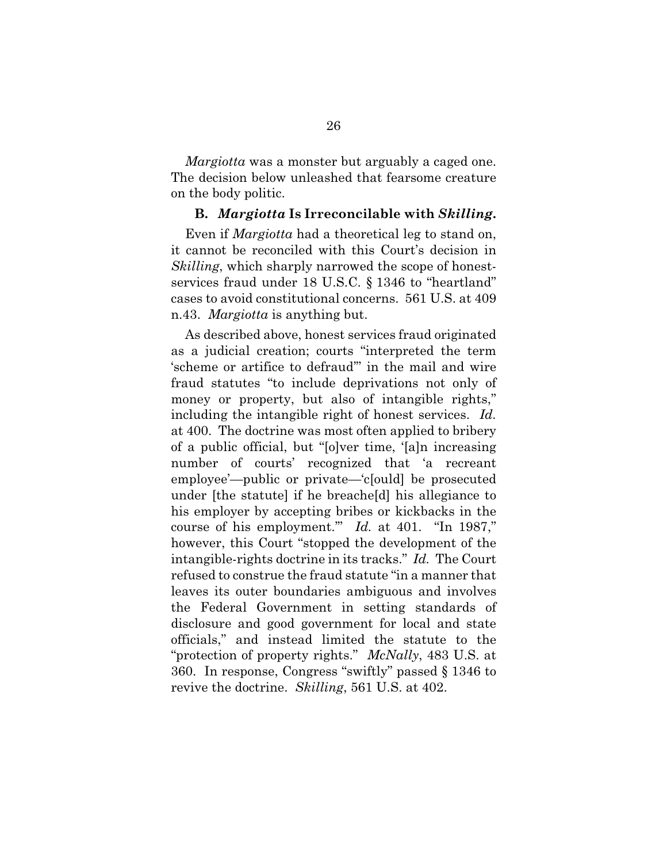*Margiotta* was a monster but arguably a caged one. The decision below unleashed that fearsome creature on the body politic.

#### **B.** *Margiotta* **Is Irreconcilable with** *Skilling***.**

Even if *Margiotta* had a theoretical leg to stand on, it cannot be reconciled with this Court's decision in *Skilling*, which sharply narrowed the scope of honestservices fraud under 18 U.S.C. § 1346 to "heartland" cases to avoid constitutional concerns. 561 U.S. at 409 n.43. *Margiotta* is anything but.

As described above, honest services fraud originated as a judicial creation; courts "interpreted the term 'scheme or artifice to defraud'" in the mail and wire fraud statutes "to include deprivations not only of money or property, but also of intangible rights," including the intangible right of honest services. *Id.* at 400. The doctrine was most often applied to bribery of a public official, but "[o]ver time, '[a]n increasing number of courts' recognized that 'a recreant employee'—public or private—'c[ould] be prosecuted under [the statute] if he breache[d] his allegiance to his employer by accepting bribes or kickbacks in the course of his employment.'" *Id.* at 401. "In 1987," however, this Court "stopped the development of the intangible-rights doctrine in its tracks." *Id.* The Court refused to construe the fraud statute "in a manner that leaves its outer boundaries ambiguous and involves the Federal Government in setting standards of disclosure and good government for local and state officials," and instead limited the statute to the "protection of property rights." *McNally*, 483 U.S. at 360. In response, Congress "swiftly" passed § 1346 to revive the doctrine. *Skilling*, 561 U.S. at 402.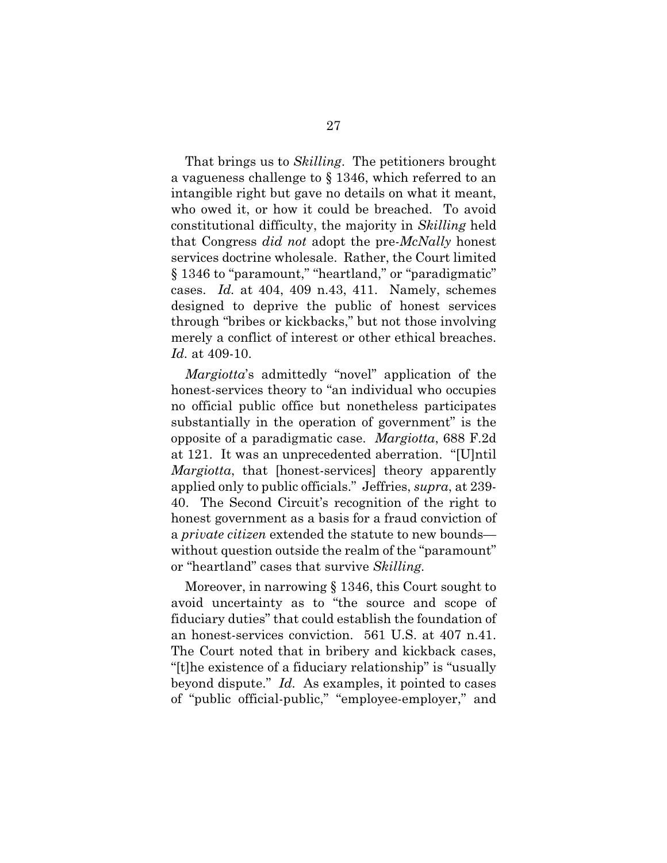That brings us to *Skilling*. The petitioners brought a vagueness challenge to § 1346, which referred to an intangible right but gave no details on what it meant, who owed it, or how it could be breached. To avoid constitutional difficulty, the majority in *Skilling* held that Congress *did not* adopt the pre-*McNally* honest services doctrine wholesale. Rather, the Court limited § 1346 to "paramount," "heartland," or "paradigmatic" cases. *Id.* at 404, 409 n.43, 411. Namely, schemes designed to deprive the public of honest services through "bribes or kickbacks," but not those involving merely a conflict of interest or other ethical breaches. *Id.* at 409-10.

*Margiotta*'s admittedly "novel" application of the honest-services theory to "an individual who occupies no official public office but nonetheless participates substantially in the operation of government" is the opposite of a paradigmatic case. *Margiotta*, 688 F.2d at 121. It was an unprecedented aberration. "[U]ntil *Margiotta*, that [honest-services] theory apparently applied only to public officials." Jeffries, *supra*, at 239- 40. The Second Circuit's recognition of the right to honest government as a basis for a fraud conviction of a *private citizen* extended the statute to new bounds without question outside the realm of the "paramount" or "heartland" cases that survive *Skilling.*

Moreover, in narrowing § 1346, this Court sought to avoid uncertainty as to "the source and scope of fiduciary duties" that could establish the foundation of an honest-services conviction. 561 U.S. at 407 n.41. The Court noted that in bribery and kickback cases, "[t]he existence of a fiduciary relationship" is "usually beyond dispute." *Id.* As examples, it pointed to cases of "public official-public," "employee-employer," and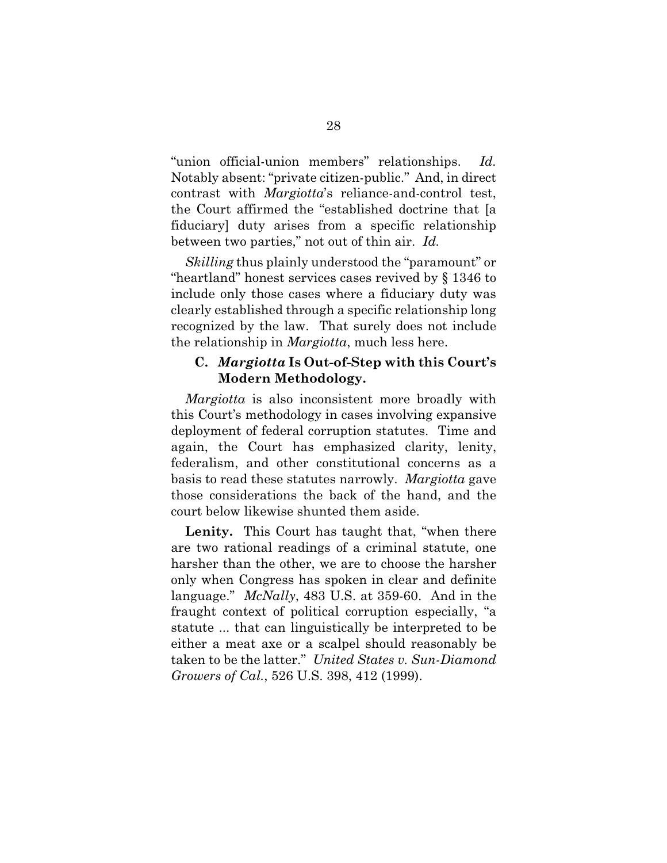"union official-union members" relationships. *Id.* Notably absent: "private citizen-public." And, in direct contrast with *Margiotta*'s reliance-and-control test, the Court affirmed the "established doctrine that [a fiduciary] duty arises from a specific relationship between two parties," not out of thin air. *Id.*

*Skilling* thus plainly understood the "paramount" or "heartland" honest services cases revived by § 1346 to include only those cases where a fiduciary duty was clearly established through a specific relationship long recognized by the law. That surely does not include the relationship in *Margiotta*, much less here.

### **C.** *Margiotta* **Is Out-of-Step with this Court's Modern Methodology.**

*Margiotta* is also inconsistent more broadly with this Court's methodology in cases involving expansive deployment of federal corruption statutes. Time and again, the Court has emphasized clarity, lenity, federalism, and other constitutional concerns as a basis to read these statutes narrowly. *Margiotta* gave those considerations the back of the hand, and the court below likewise shunted them aside.

**Lenity.** This Court has taught that, "when there are two rational readings of a criminal statute, one harsher than the other, we are to choose the harsher only when Congress has spoken in clear and definite language." *McNally*, 483 U.S. at 359-60. And in the fraught context of political corruption especially, "a statute ... that can linguistically be interpreted to be either a meat axe or a scalpel should reasonably be taken to be the latter." *United States v. Sun-Diamond Growers of Cal.*, 526 U.S. 398, 412 (1999).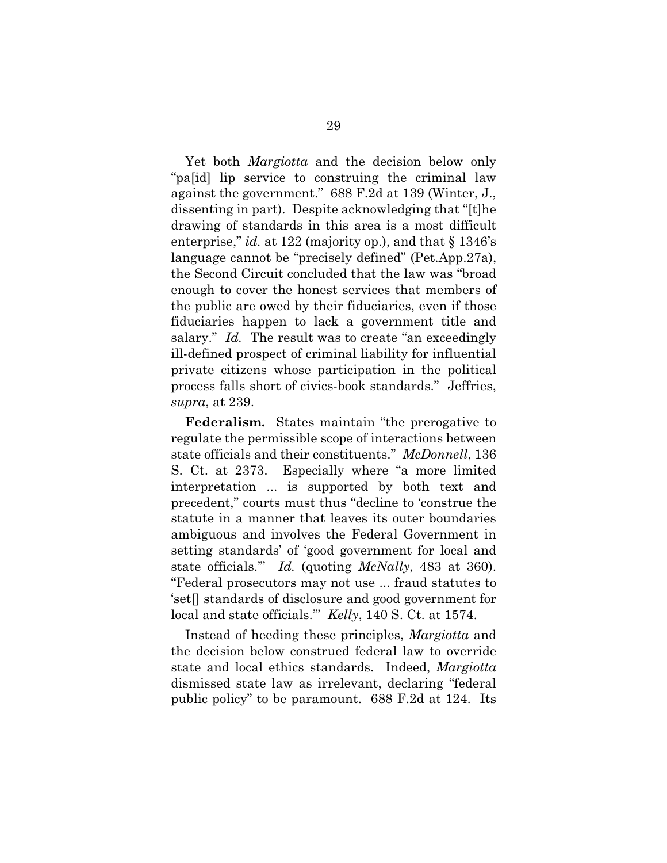Yet both *Margiotta* and the decision below only "pa[id] lip service to construing the criminal law against the government." 688 F.2d at 139 (Winter, J., dissenting in part). Despite acknowledging that "[t]he drawing of standards in this area is a most difficult enterprise," *id.* at 122 (majority op.), and that § 1346's language cannot be "precisely defined" (Pet.App.27a), the Second Circuit concluded that the law was "broad enough to cover the honest services that members of the public are owed by their fiduciaries, even if those fiduciaries happen to lack a government title and salary." *Id.* The result was to create "an exceedingly ill-defined prospect of criminal liability for influential private citizens whose participation in the political process falls short of civics-book standards." Jeffries, *supra*, at 239.

**Federalism.** States maintain "the prerogative to regulate the permissible scope of interactions between state officials and their constituents." *McDonnell*, 136 S. Ct. at 2373. Especially where "a more limited interpretation ... is supported by both text and precedent," courts must thus "decline to 'construe the statute in a manner that leaves its outer boundaries ambiguous and involves the Federal Government in setting standards' of 'good government for local and state officials.'" *Id.* (quoting *McNally*, 483 at 360). "Federal prosecutors may not use ... fraud statutes to 'set[] standards of disclosure and good government for local and state officials.'" *Kelly*, 140 S. Ct. at 1574.

Instead of heeding these principles, *Margiotta* and the decision below construed federal law to override state and local ethics standards. Indeed, *Margiotta* dismissed state law as irrelevant, declaring "federal public policy" to be paramount. 688 F.2d at 124. Its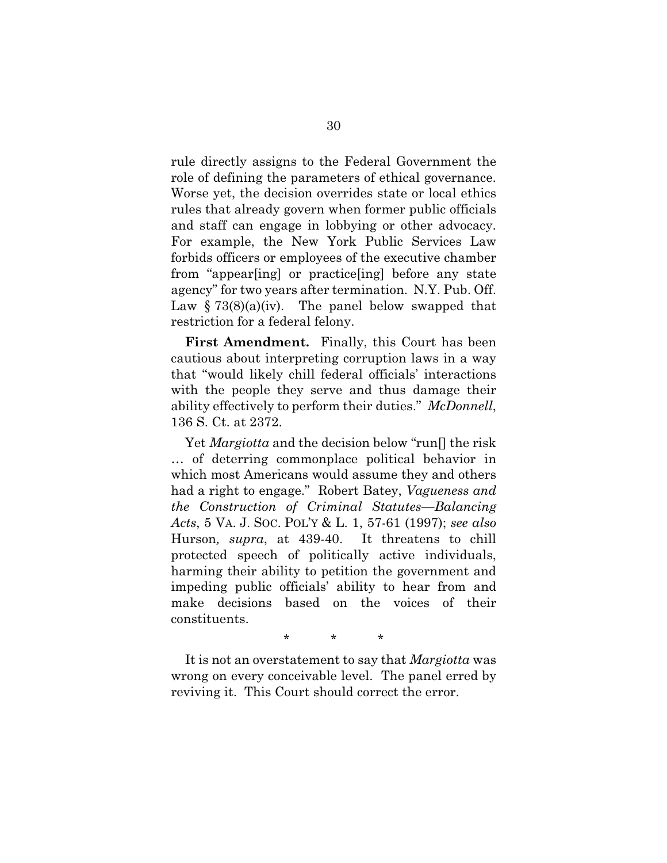rule directly assigns to the Federal Government the role of defining the parameters of ethical governance. Worse yet, the decision overrides state or local ethics rules that already govern when former public officials and staff can engage in lobbying or other advocacy. For example, the New York Public Services Law forbids officers or employees of the executive chamber from "appear[ing] or practice[ing] before any state agency" for two years after termination. N.Y. Pub. Off. Law  $\S 73(8)(a)(iv)$ . The panel below swapped that restriction for a federal felony.

**First Amendment.** Finally, this Court has been cautious about interpreting corruption laws in a way that "would likely chill federal officials' interactions with the people they serve and thus damage their ability effectively to perform their duties." *McDonnell*, 136 S. Ct. at 2372.

Yet *Margiotta* and the decision below "run[] the risk … of deterring commonplace political behavior in which most Americans would assume they and others had a right to engage." Robert Batey, *Vagueness and the Construction of Criminal Statutes—Balancing Acts*, 5 VA. J. SOC. POL'Y & L. 1, 57-61 (1997); *see also*  Hurson*, supra*, at 439-40. It threatens to chill protected speech of politically active individuals, harming their ability to petition the government and impeding public officials' ability to hear from and make decisions based on the voices of their constituents.

\* \* \*

It is not an overstatement to say that *Margiotta* was wrong on every conceivable level. The panel erred by reviving it. This Court should correct the error.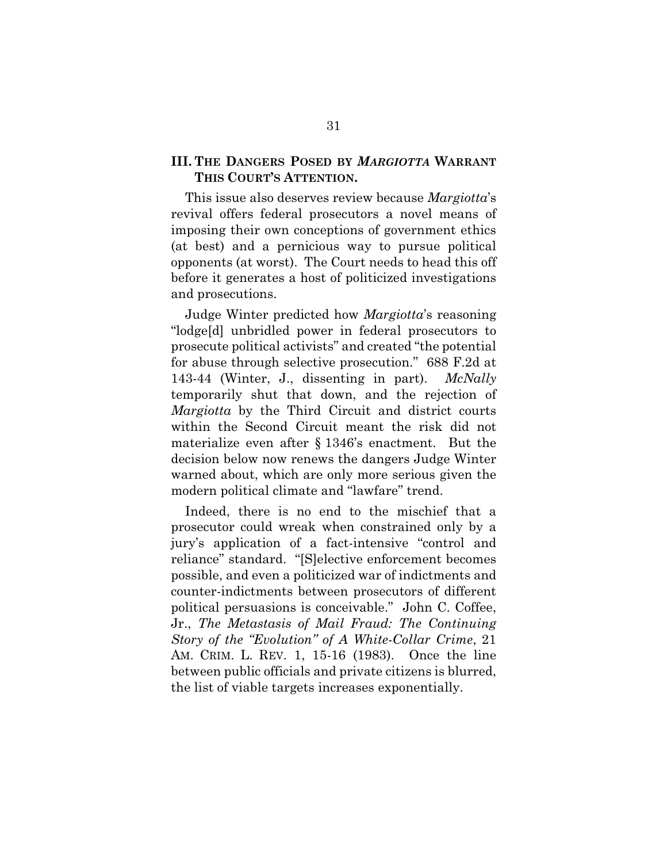### **III. THE DANGERS POSED BY** *MARGIOTTA* **WARRANT THIS COURT'S ATTENTION.**

This issue also deserves review because *Margiotta*'s revival offers federal prosecutors a novel means of imposing their own conceptions of government ethics (at best) and a pernicious way to pursue political opponents (at worst). The Court needs to head this off before it generates a host of politicized investigations and prosecutions.

Judge Winter predicted how *Margiotta*'s reasoning "lodge[d] unbridled power in federal prosecutors to prosecute political activists" and created "the potential for abuse through selective prosecution." 688 F.2d at 143-44 (Winter, J., dissenting in part). *McNally* temporarily shut that down, and the rejection of *Margiotta* by the Third Circuit and district courts within the Second Circuit meant the risk did not materialize even after § 1346's enactment. But the decision below now renews the dangers Judge Winter warned about, which are only more serious given the modern political climate and "lawfare" trend.

Indeed, there is no end to the mischief that a prosecutor could wreak when constrained only by a jury's application of a fact-intensive "control and reliance" standard. "[S]elective enforcement becomes possible, and even a politicized war of indictments and counter-indictments between prosecutors of different political persuasions is conceivable." John C. Coffee, Jr., *The Metastasis of Mail Fraud: The Continuing Story of the "Evolution" of A White-Collar Crime*, 21 AM. CRIM. L. REV. 1, 15-16 (1983). Once the line between public officials and private citizens is blurred, the list of viable targets increases exponentially.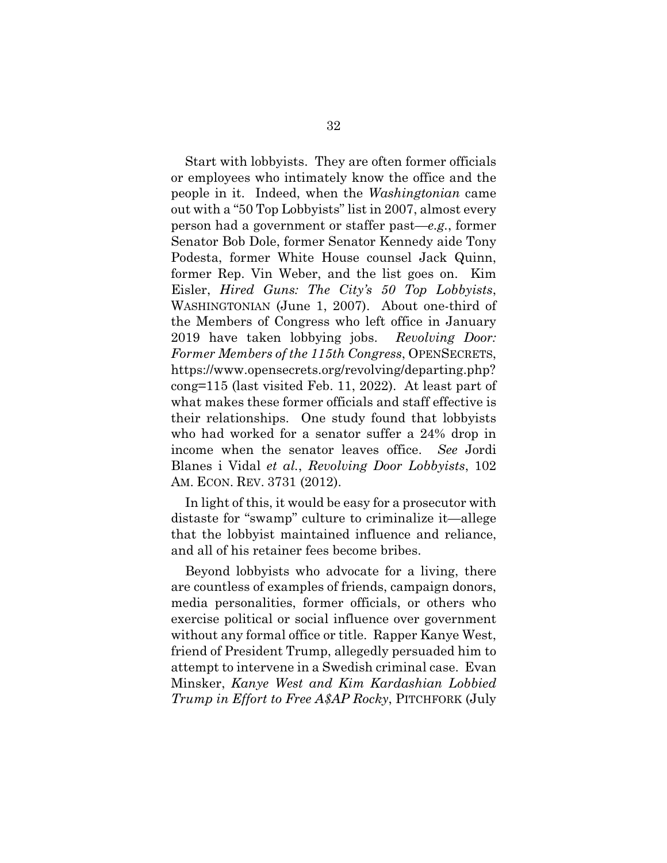Start with lobbyists. They are often former officials or employees who intimately know the office and the people in it. Indeed, when the *Washingtonian* came out with a "50 Top Lobbyists" list in 2007, almost every person had a government or staffer past—*e.g.*, former Senator Bob Dole, former Senator Kennedy aide Tony Podesta, former White House counsel Jack Quinn, former Rep. Vin Weber, and the list goes on. Kim Eisler, *Hired Guns: The City's 50 Top Lobbyists*, WASHINGTONIAN (June 1, 2007). About one-third of the Members of Congress who left office in January 2019 have taken lobbying jobs. *Revolving Door: Former Members of the 115th Congress*, OPENSECRETS, https://www.opensecrets.org/revolving/departing.php? cong=115 (last visited Feb. 11, 2022). At least part of what makes these former officials and staff effective is their relationships. One study found that lobbyists who had worked for a senator suffer a 24% drop in income when the senator leaves office. *See* Jordi Blanes i Vidal *et al.*, *Revolving Door Lobbyists*, 102 AM. ECON. REV. 3731 (2012).

In light of this, it would be easy for a prosecutor with distaste for "swamp" culture to criminalize it—allege that the lobbyist maintained influence and reliance, and all of his retainer fees become bribes.

Beyond lobbyists who advocate for a living, there are countless of examples of friends, campaign donors, media personalities, former officials, or others who exercise political or social influence over government without any formal office or title. Rapper Kanye West, friend of President Trump, allegedly persuaded him to attempt to intervene in a Swedish criminal case. Evan Minsker, *Kanye West and Kim Kardashian Lobbied Trump in Effort to Free A\$AP Rocky*, PITCHFORK (July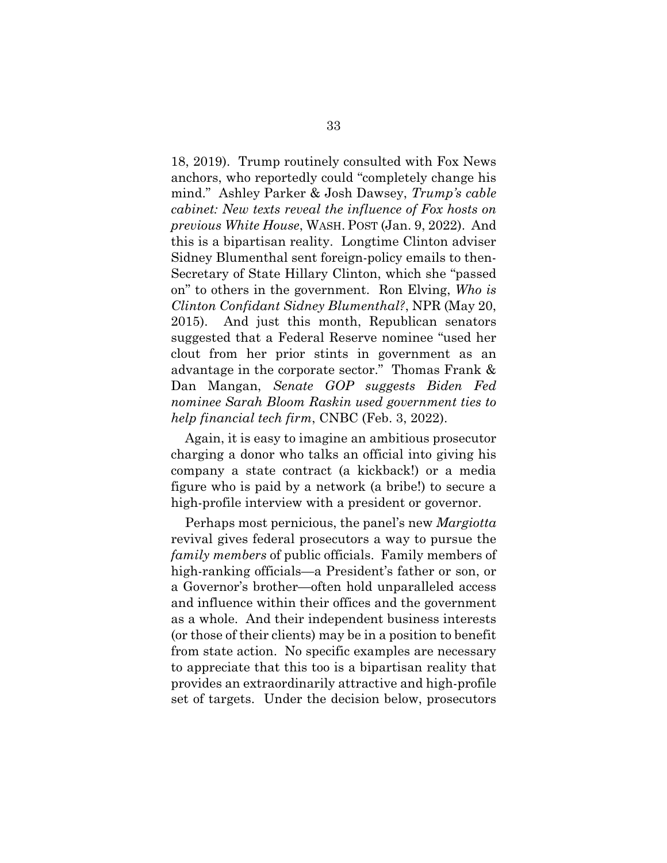18, 2019). Trump routinely consulted with Fox News anchors, who reportedly could "completely change his mind." Ashley Parker & Josh Dawsey, *Trump's cable cabinet: New texts reveal the influence of Fox hosts on previous White House*, WASH. POST (Jan. 9, 2022). And this is a bipartisan reality. Longtime Clinton adviser Sidney Blumenthal sent foreign-policy emails to then-Secretary of State Hillary Clinton, which she "passed on" to others in the government. Ron Elving, *Who is Clinton Confidant Sidney Blumenthal?*, NPR (May 20, 2015). And just this month, Republican senators suggested that a Federal Reserve nominee "used her clout from her prior stints in government as an advantage in the corporate sector." Thomas Frank & Dan Mangan, *Senate GOP suggests Biden Fed nominee Sarah Bloom Raskin used government ties to help financial tech firm*, CNBC (Feb. 3, 2022).

Again, it is easy to imagine an ambitious prosecutor charging a donor who talks an official into giving his company a state contract (a kickback!) or a media figure who is paid by a network (a bribe!) to secure a high-profile interview with a president or governor.

Perhaps most pernicious, the panel's new *Margiotta*  revival gives federal prosecutors a way to pursue the *family members* of public officials. Family members of high-ranking officials—a President's father or son, or a Governor's brother—often hold unparalleled access and influence within their offices and the government as a whole. And their independent business interests (or those of their clients) may be in a position to benefit from state action. No specific examples are necessary to appreciate that this too is a bipartisan reality that provides an extraordinarily attractive and high-profile set of targets. Under the decision below, prosecutors